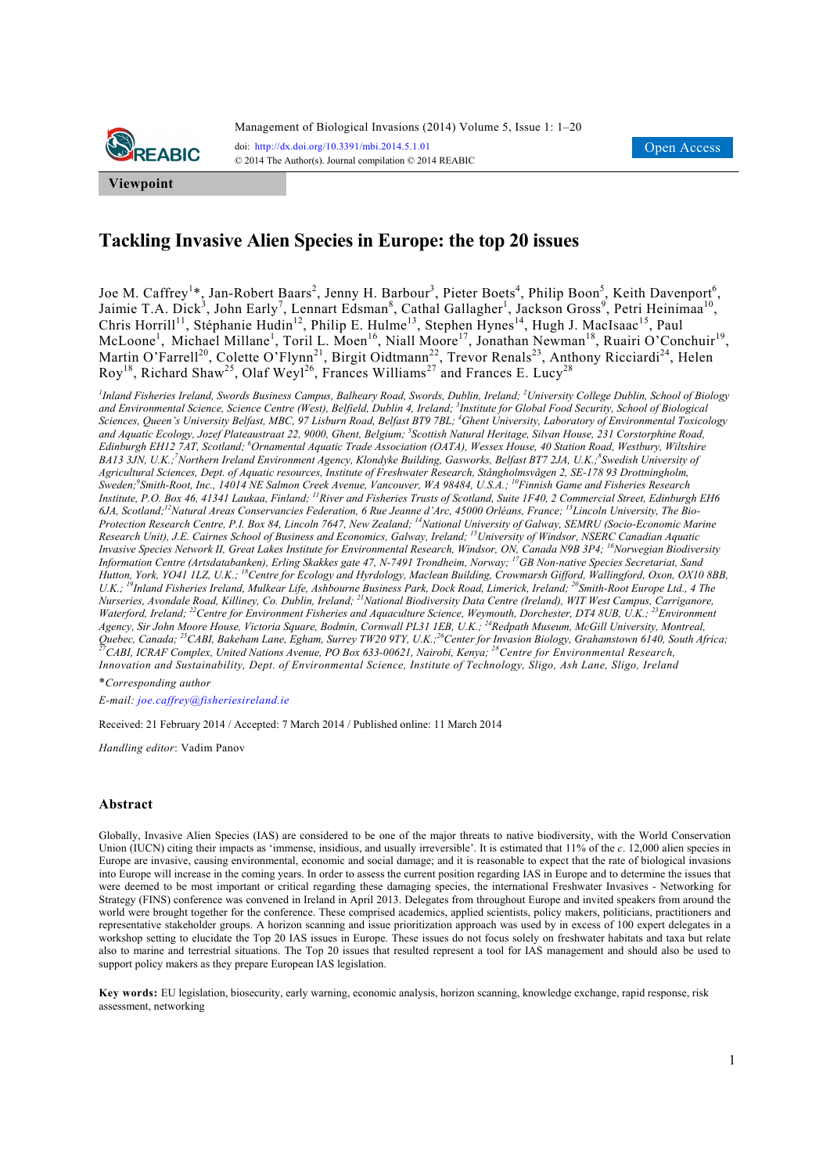

# **Tackling Invasive Alien Species in Europe: the top 20 issues**

Joe M. Caffrey<sup>1\*</sup>, Jan-Robert Baars<sup>2</sup>, Jenny H. Barbour<sup>3</sup>, Pieter Boets<sup>4</sup>, Philip Boon<sup>5</sup>, Keith Davenport<sup>6</sup>, Jaimie T.A. Dick<sup>3</sup>, John Early<sup>7</sup>, Lennart Edsman<sup>8</sup>, Cathal Gallagher<sup>1</sup>, Jackson Gross<sup>9</sup>, Petri Heinimaa<sup>10</sup>, Chris Horrill<sup>11</sup>, Stéphanie Hudin<sup>12</sup>, Philip E. Hulme<sup>13</sup>, Stephen Hynes<sup>14</sup>, Hugh J. MacIsaac<sup>15</sup>, Paul McLoone<sup>1</sup>, Michael Millane<sup>1</sup>, Toril L. Moen<sup>16</sup>, Niall Moore<sup>17</sup>, Jonathan Newman<sup>18</sup>, Ruairi O'Conchuir<sup>19</sup>, Martin O'Farrell<sup>20</sup>, Colette O'Flynn<sup>21</sup>, Birgit Oidtmann<sup>22</sup>, Trevor Renals<sup>23</sup>, Anthony Ricciardi<sup>24</sup>, Helen  ${\rm Roy}^{18}$ , Richard Shaw<sup>25</sup>, Olaf Weyl<sup>26</sup>, Frances Williams<sup>27</sup> and Frances E. Lucy<sup>28</sup>

*1 Inland Fisheries Ireland, Swords Business Campus, Balheary Road, Swords, Dublin, Ireland; 2 University College Dublin, School of Biology and Environmental Science, Science Centre (West), Belfield, Dublin 4, Ireland; 3 Institute for Global Food Security, School of Biological*  Sciences, Queen's University Belfast, MBC, 97 Lisburn Road, Belfast BT9 7BL; <sup>4</sup>Ghent University, Laboratory of Environmental Toxicology *and Aquatic Ecology, Jozef Plateaustraat 22, 9000, Ghent, Belgium; 5 Scottish Natural Heritage, Silvan House, 231 Corstorphine Road, Edinburgh EH12 7AT, Scotland; 6 Ornamental Aquatic Trade Association (OATA), Wessex House, 40 Station Road, Westbury, Wiltshire BA13 3JN, U.K.;7 Northern Ireland Environment Agency, Klondyke Building, Gasworks, Belfast BT7 2JA, U.K.;<sup>8</sup> Swedish University of Agricultural Sciences, Dept. of Aquatic resources, Institute of Freshwater Research, Stångholmsvågen 2, SE-178 93 Drottningholm, Sweden;9 Smith-Root, Inc., 14014 NE Salmon Creek Avenue, Vancouver, WA 98484, U.S.A.; 10Finnish Game and Fisheries Research Institute, P.O. Box 46, 41341 Laukaa, Finland; 11River and Fisheries Trusts of Scotland, Suite 1F40, 2 Commercial Street, Edinburgh EH6 6JA, Scotland;12Natural Areas Conservancies Federation, 6 Rue Jeanne d'Arc, 45000 Orléans, France; 13Lincoln University, The Bio-Protection Research Centre, P.I. Box 84, Lincoln 7647, New Zealand; 14National University of Galway, SEMRU (Socio-Economic Marine Research Unit), J.E. Cairnes School of Business and Economics, Galway, Ireland; 15University of Windsor, NSERC Canadian Aquatic Invasive Species Network II, Great Lakes Institute for Environmental Research, Windsor, ON, Canada N9B 3P4; 16Norwegian Biodiversity Information Centre (Artsdatabanken), Erling Skakkes gate 47, N-7491 Trondheim, Norway; 17GB Non-native Species Secretariat, Sand Hutton, York, YO41 1LZ, U.K.; 18Centre for Ecology and Hyrdology, Maclean Building, Crowmarsh Gifford, Wallingford, Oxon, OX10 8BB, U.K.; 19Inland Fisheries Ireland, Mulkear Life, Ashbourne Business Park, Dock Road, Limerick, Ireland; 20Smith-Root Europe Ltd., 4 The Nurseries, Avondale Road, Killiney, Co. Dublin, Ireland; 21National Biodiversity Data Centre (Ireland), WIT West Campus, Carriganore, Waterford, Ireland; <sup>22</sup>Centre for Environment Fisheries and Aquaculture Science, Weymouth, Dorchester, DT4 8UB, U.K.; <sup>23</sup>Environment Agency, Sir John Moore House, Victoria Square, Bodmin, Cornwall PL31 1EB, U.K.; 24Redpath Museum, McGill University, Montreal,*  Quebec, Canada;<sup>25</sup>CABI, Bakeham Lane, Egham, Surrey TW20 9TY, U.K.;<sup>26</sup>Center for Invasion Biology, Grahamstown 6140, South Africa;<br><sup>27</sup>CABI, ICRAF Complex, United Nations Avenue, PO Box 633-00621, Nairobi, Kenya;<sup>28</sup>Cent *Innovation and Sustainability, Dept. of Environmental Science, Institute of Technology, Sligo, Ash Lane, Sligo, Ireland* 

\**Corresponding author* 

*E-mail: joe.caffrey@fisheriesireland.ie*

Received: 21 February 2014 / Accepted: 7 March 2014 / Published online: 11 March 2014

*Handling editor*: Vadim Panov

#### **Abstract**

Globally, Invasive Alien Species (IAS) are considered to be one of the major threats to native biodiversity, with the World Conservation Union (IUCN) citing their impacts as 'immense, insidious, and usually irreversible'. It is estimated that 11% of the *c*. 12,000 alien species in Europe are invasive, causing environmental, economic and social damage; and it is reasonable to expect that the rate of biological invasions into Europe will increase in the coming years. In order to assess the current position regarding IAS in Europe and to determine the issues that were deemed to be most important or critical regarding these damaging species, the international Freshwater Invasives - Networking for Strategy (FINS) conference was convened in Ireland in April 2013. Delegates from throughout Europe and invited speakers from around the world were brought together for the conference. These comprised academics, applied scientists, policy makers, politicians, practitioners and representative stakeholder groups. A horizon scanning and issue prioritization approach was used by in excess of 100 expert delegates in a workshop setting to elucidate the Top 20 IAS issues in Europe. These issues do not focus solely on freshwater habitats and taxa but relate also to marine and terrestrial situations. The Top 20 issues that resulted represent a tool for IAS management and should also be used to support policy makers as they prepare European IAS legislation.

**Key words:** EU legislation, biosecurity, early warning, economic analysis, horizon scanning, knowledge exchange, rapid response, risk assessment, networking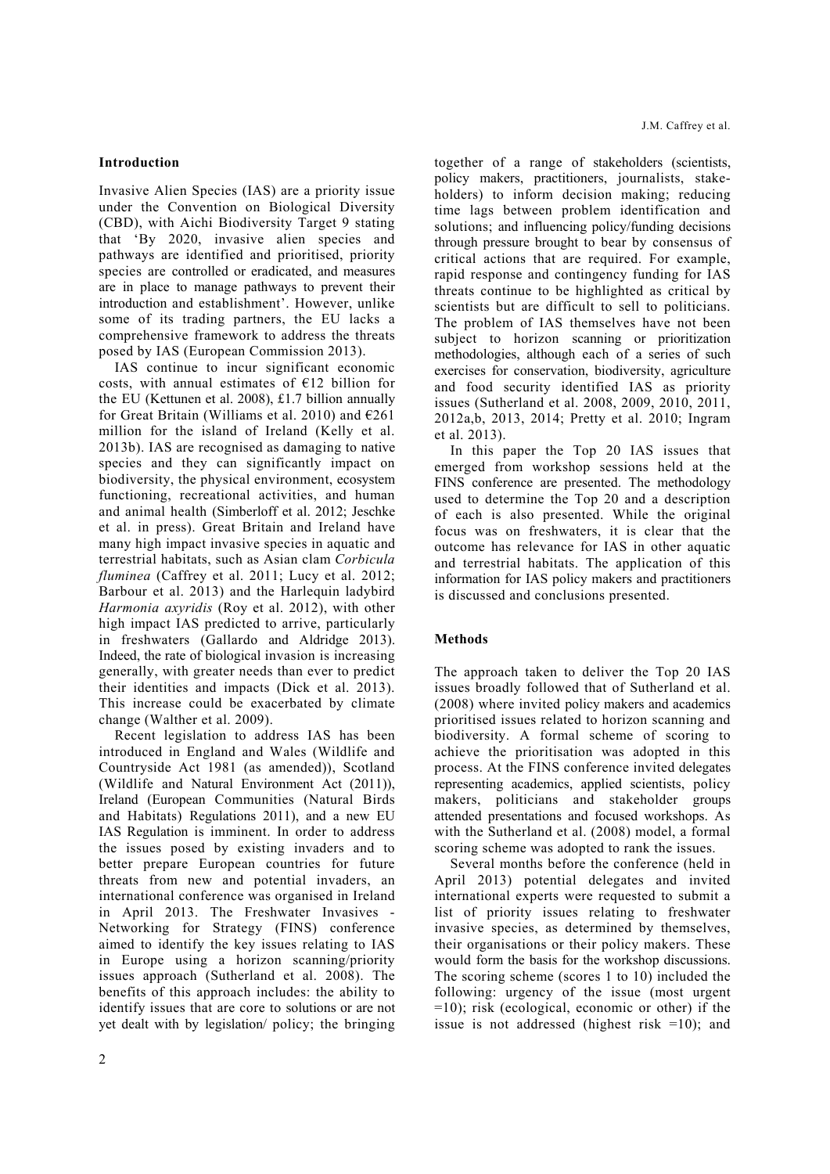#### **Introduction**

Invasive Alien Species (IAS) are a priority issue under the Convention on Biological Diversity (CBD), with Aichi Biodiversity Target 9 stating that 'By 2020, invasive alien species and pathways are identified and prioritised, priority species are controlled or eradicated, and measures are in place to manage pathways to prevent their introduction and establishment'. However, unlike some of its trading partners, the EU lacks a comprehensive framework to address the threats posed by IAS (European Commission 2013).

IAS continue to incur significant economic costs, with annual estimates of  $E12$  billion for the EU (Kettunen et al. 2008), £1.7 billion annually for Great Britain (Williams et al. 2010) and  $E$ 261 million for the island of Ireland (Kelly et al. 2013b). IAS are recognised as damaging to native species and they can significantly impact on biodiversity, the physical environment, ecosystem functioning, recreational activities, and human and animal health (Simberloff et al. 2012; Jeschke et al. in press). Great Britain and Ireland have many high impact invasive species in aquatic and terrestrial habitats, such as Asian clam *Corbicula fluminea* (Caffrey et al. 2011; Lucy et al. 2012; Barbour et al. 2013) and the Harlequin ladybird *Harmonia axyridis* (Roy et al. 2012), with other high impact IAS predicted to arrive, particularly in freshwaters (Gallardo and Aldridge 2013). Indeed, the rate of biological invasion is increasing generally, with greater needs than ever to predict their identities and impacts (Dick et al. 2013). This increase could be exacerbated by climate change (Walther et al. 2009).

Recent legislation to address IAS has been introduced in England and Wales (Wildlife and Countryside Act 1981 (as amended)), Scotland (Wildlife and Natural Environment Act (2011)), Ireland (European Communities (Natural Birds and Habitats) Regulations 2011), and a new EU IAS Regulation is imminent. In order to address the issues posed by existing invaders and to better prepare European countries for future threats from new and potential invaders, an international conference was organised in Ireland in April 2013. The Freshwater Invasives - Networking for Strategy (FINS) conference aimed to identify the key issues relating to IAS in Europe using a horizon scanning/priority issues approach (Sutherland et al. 2008). The benefits of this approach includes: the ability to identify issues that are core to solutions or are not yet dealt with by legislation/ policy; the bringing together of a range of stakeholders (scientists, policy makers, practitioners, journalists, stakeholders) to inform decision making; reducing time lags between problem identification and solutions; and influencing policy/funding decisions through pressure brought to bear by consensus of critical actions that are required. For example, rapid response and contingency funding for IAS threats continue to be highlighted as critical by scientists but are difficult to sell to politicians. The problem of IAS themselves have not been subject to horizon scanning or prioritization methodologies, although each of a series of such exercises for conservation, biodiversity, agriculture and food security identified IAS as priority issues (Sutherland et al. 2008, 2009, 2010, 2011, 2012a,b, 2013, 2014; Pretty et al. 2010; Ingram et al. 2013).

In this paper the Top 20 IAS issues that emerged from workshop sessions held at the FINS conference are presented. The methodology used to determine the Top 20 and a description of each is also presented. While the original focus was on freshwaters, it is clear that the outcome has relevance for IAS in other aquatic and terrestrial habitats. The application of this information for IAS policy makers and practitioners is discussed and conclusions presented.

#### **Methods**

The approach taken to deliver the Top 20 IAS issues broadly followed that of Sutherland et al. (2008) where invited policy makers and academics prioritised issues related to horizon scanning and biodiversity. A formal scheme of scoring to achieve the prioritisation was adopted in this process. At the FINS conference invited delegates representing academics, applied scientists, policy makers, politicians and stakeholder groups attended presentations and focused workshops. As with the Sutherland et al. (2008) model, a formal scoring scheme was adopted to rank the issues.

Several months before the conference (held in April 2013) potential delegates and invited international experts were requested to submit a list of priority issues relating to freshwater invasive species, as determined by themselves, their organisations or their policy makers. These would form the basis for the workshop discussions. The scoring scheme (scores 1 to 10) included the following: urgency of the issue (most urgent =10); risk (ecological, economic or other) if the issue is not addressed (highest risk =10); and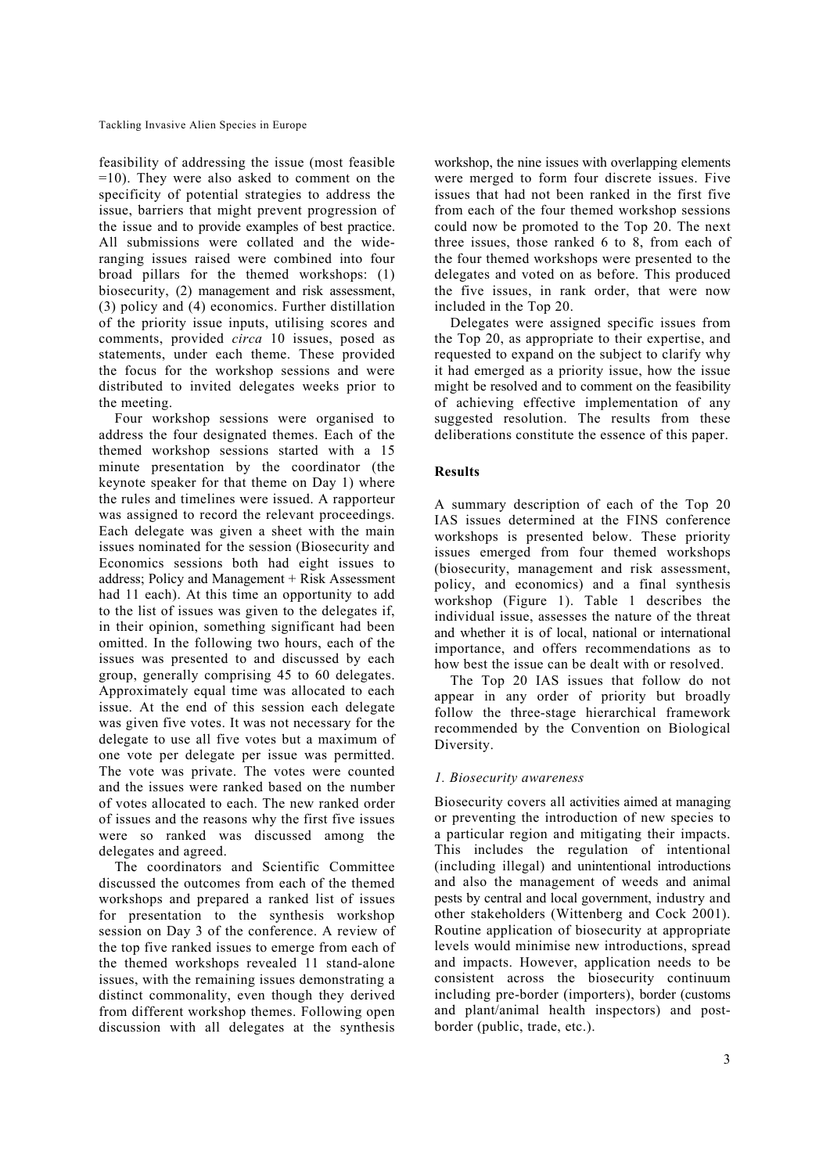feasibility of addressing the issue (most feasible =10). They were also asked to comment on the specificity of potential strategies to address the issue, barriers that might prevent progression of the issue and to provide examples of best practice. All submissions were collated and the wideranging issues raised were combined into four broad pillars for the themed workshops: (1) biosecurity, (2) management and risk assessment, (3) policy and (4) economics. Further distillation of the priority issue inputs, utilising scores and comments, provided *circa* 10 issues, posed as statements, under each theme. These provided the focus for the workshop sessions and were distributed to invited delegates weeks prior to the meeting.

Four workshop sessions were organised to address the four designated themes. Each of the themed workshop sessions started with a 15 minute presentation by the coordinator (the keynote speaker for that theme on Day 1) where the rules and timelines were issued. A rapporteur was assigned to record the relevant proceedings. Each delegate was given a sheet with the main issues nominated for the session (Biosecurity and Economics sessions both had eight issues to address; Policy and Management + Risk Assessment had 11 each). At this time an opportunity to add to the list of issues was given to the delegates if, in their opinion, something significant had been omitted. In the following two hours, each of the issues was presented to and discussed by each group, generally comprising 45 to 60 delegates. Approximately equal time was allocated to each issue. At the end of this session each delegate was given five votes. It was not necessary for the delegate to use all five votes but a maximum of one vote per delegate per issue was permitted. The vote was private. The votes were counted and the issues were ranked based on the number of votes allocated to each. The new ranked order of issues and the reasons why the first five issues were so ranked was discussed among the delegates and agreed.

The coordinators and Scientific Committee discussed the outcomes from each of the themed workshops and prepared a ranked list of issues for presentation to the synthesis workshop session on Day 3 of the conference. A review of the top five ranked issues to emerge from each of the themed workshops revealed 11 stand-alone issues, with the remaining issues demonstrating a distinct commonality, even though they derived from different workshop themes. Following open discussion with all delegates at the synthesis workshop, the nine issues with overlapping elements were merged to form four discrete issues. Five issues that had not been ranked in the first five from each of the four themed workshop sessions could now be promoted to the Top 20. The next three issues, those ranked 6 to 8, from each of the four themed workshops were presented to the delegates and voted on as before. This produced the five issues, in rank order, that were now included in the Top 20.

Delegates were assigned specific issues from the Top 20, as appropriate to their expertise, and requested to expand on the subject to clarify why it had emerged as a priority issue, how the issue might be resolved and to comment on the feasibility of achieving effective implementation of any suggested resolution. The results from these deliberations constitute the essence of this paper.

# **Results**

A summary description of each of the Top 20 IAS issues determined at the FINS conference workshops is presented below. These priority issues emerged from four themed workshops (biosecurity, management and risk assessment, policy, and economics) and a final synthesis workshop (Figure 1). Table 1 describes the individual issue, assesses the nature of the threat and whether it is of local, national or international importance, and offers recommendations as to how best the issue can be dealt with or resolved.

The Top 20 IAS issues that follow do not appear in any order of priority but broadly follow the three-stage hierarchical framework recommended by the Convention on Biological Diversity.

# *1. Biosecurity awareness*

Biosecurity covers all activities aimed at managing or preventing the introduction of new species to a particular region and mitigating their impacts. This includes the regulation of intentional (including illegal) and unintentional introductions and also the management of weeds and animal pests by central and local government, industry and other stakeholders (Wittenberg and Cock 2001). Routine application of biosecurity at appropriate levels would minimise new introductions, spread and impacts. However, application needs to be consistent across the biosecurity continuum including pre-border (importers), border (customs and plant/animal health inspectors) and postborder (public, trade, etc.).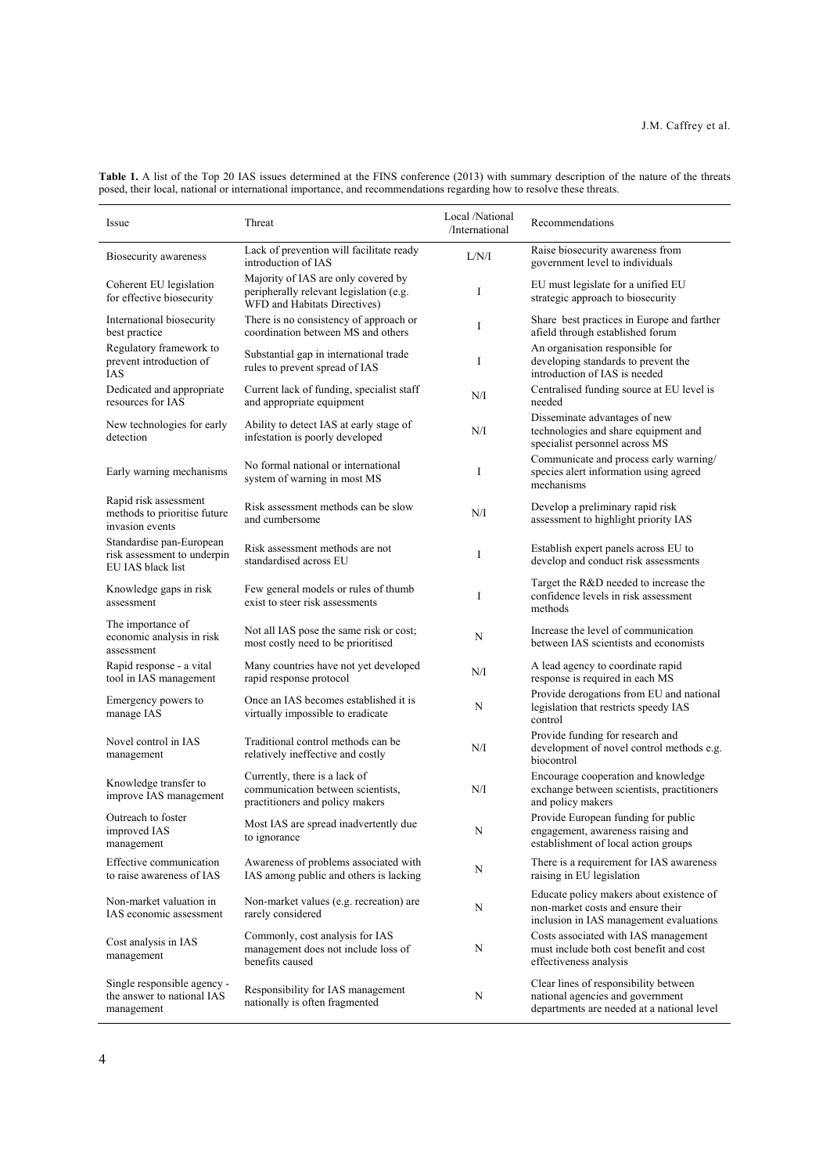| Issue                                                                        | Threat                                                                                                         | Local /National<br>/International | Recommendations                                                                                                          |
|------------------------------------------------------------------------------|----------------------------------------------------------------------------------------------------------------|-----------------------------------|--------------------------------------------------------------------------------------------------------------------------|
| Biosecurity awareness                                                        | Lack of prevention will facilitate ready<br>introduction of IAS                                                | L/N/I                             | Raise biosecurity awareness from<br>government level to individuals                                                      |
| Coherent EU legislation<br>for effective biosecurity                         | Majority of IAS are only covered by<br>peripherally relevant legislation (e.g.<br>WFD and Habitats Directives) | I                                 | EU must legislate for a unified EU<br>strategic approach to biosecurity                                                  |
| International biosecurity<br>best practice                                   | There is no consistency of approach or<br>coordination between MS and others                                   | I                                 | Share best practices in Europe and farther<br>afield through established forum                                           |
| Regulatory framework to<br>prevent introduction of<br><b>IAS</b>             | Substantial gap in international trade<br>rules to prevent spread of IAS                                       | I                                 | An organisation responsible for<br>developing standards to prevent the<br>introduction of IAS is needed                  |
| Dedicated and appropriate<br>resources for IAS                               | Current lack of funding, specialist staff<br>and appropriate equipment                                         | N/I                               | Centralised funding source at EU level is<br>needed                                                                      |
| New technologies for early<br>detection                                      | Ability to detect IAS at early stage of<br>infestation is poorly developed                                     | N/I                               | Disseminate advantages of new<br>technologies and share equipment and<br>specialist personnel across MS                  |
| Early warning mechanisms                                                     | No formal national or international<br>system of warning in most MS                                            | I                                 | Communicate and process early warning/<br>species alert information using agreed<br>mechanisms                           |
| Rapid risk assessment<br>methods to prioritise future<br>invasion events     | Risk assessment methods can be slow<br>and cumbersome                                                          | N/I                               | Develop a preliminary rapid risk<br>assessment to highlight priority IAS                                                 |
| Standardise pan-European<br>risk assessment to underpin<br>EU JAS black list | Risk assessment methods are not<br>standardised across EU                                                      | I                                 | Establish expert panels across EU to<br>develop and conduct risk assessments                                             |
| Knowledge gaps in risk<br>assessment                                         | Few general models or rules of thumb<br>exist to steer risk assessments                                        | I                                 | Target the R&D needed to increase the<br>confidence levels in risk assessment<br>methods                                 |
| The importance of<br>economic analysis in risk<br>assessment                 | Not all IAS pose the same risk or cost;<br>most costly need to be prioritised                                  | N                                 | Increase the level of communication<br>between IAS scientists and economists                                             |
| Rapid response - a vital<br>tool in IAS management                           | Many countries have not yet developed<br>rapid response protocol                                               | N/I                               | A lead agency to coordinate rapid<br>response is required in each MS                                                     |
| Emergency powers to<br>manage IAS                                            | Once an IAS becomes established it is<br>virtually impossible to eradicate                                     | N                                 | Provide derogations from EU and national<br>legislation that restricts speedy IAS<br>control                             |
| Novel control in IAS<br>management                                           | Traditional control methods can be<br>relatively ineffective and costly                                        | N/I                               | Provide funding for research and<br>development of novel control methods e.g.<br>biocontrol                              |
| Knowledge transfer to<br>improve IAS management                              | Currently, there is a lack of<br>communication between scientists.<br>practitioners and policy makers          | N/I                               | Encourage cooperation and knowledge<br>exchange between scientists, practitioners<br>and policy makers                   |
| Outreach to foster<br>improved IAS<br>management                             | Most IAS are spread inadvertently due<br>to ignorance                                                          | N                                 | Provide European funding for public<br>engagement, awareness raising and<br>establishment of local action groups         |
| Effective communication<br>to raise awareness of IAS                         | Awareness of problems associated with<br>IAS among public and others is lacking                                | $\mathbf N$                       | There is a requirement for IAS awareness<br>raising in EU legislation                                                    |
| Non-market valuation in<br>IAS economic assessment                           | Non-market values (e.g. recreation) are<br>rarely considered                                                   | N                                 | Educate policy makers about existence of<br>non-market costs and ensure their<br>inclusion in IAS management evaluations |
| Cost analysis in IAS<br>management                                           | Commonly, cost analysis for IAS<br>management does not include loss of<br>benefits caused                      | N                                 | Costs associated with IAS management<br>must include both cost benefit and cost<br>effectiveness analysis                |
| Single responsible agency -<br>the answer to national IAS<br>management      | Responsibility for IAS management<br>nationally is often fragmented                                            | N                                 | Clear lines of responsibility between<br>national agencies and government<br>departments are needed at a national level  |

**Table 1.** A list of the Top 20 IAS issues determined at the FINS conference (2013) with summary description of the nature of the threats posed, their local, national or international importance, and recommendations regarding how to resolve these threats.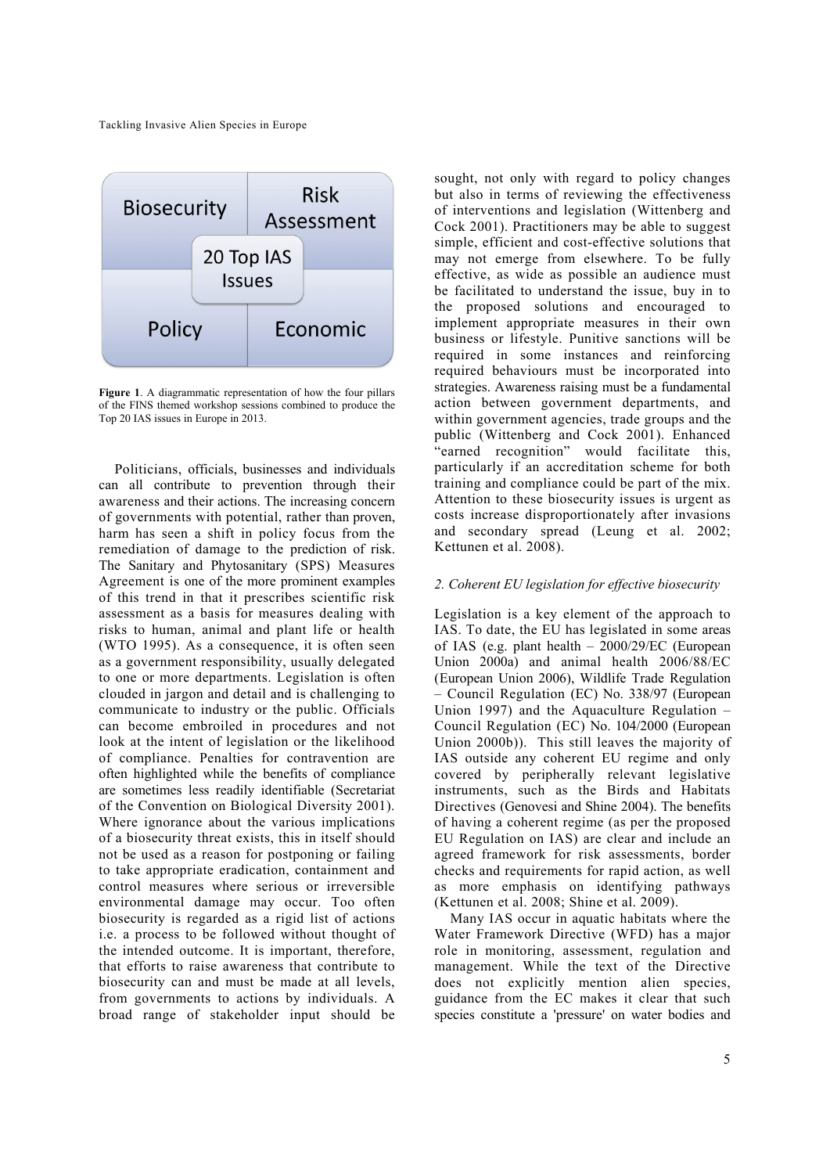

**Figure 1**. A diagrammatic representation of how the four pillars of the FINS themed workshop sessions combined to produce the Top 20 IAS issues in Europe in 2013.

Politicians, officials, businesses and individuals can all contribute to prevention through their awareness and their actions. The increasing concern of governments with potential, rather than proven, harm has seen a shift in policy focus from the remediation of damage to the prediction of risk. The Sanitary and Phytosanitary (SPS) Measures Agreement is one of the more prominent examples of this trend in that it prescribes scientific risk assessment as a basis for measures dealing with risks to human, animal and plant life or health (WTO 1995). As a consequence, it is often seen as a government responsibility, usually delegated to one or more departments. Legislation is often clouded in jargon and detail and is challenging to communicate to industry or the public. Officials can become embroiled in procedures and not look at the intent of legislation or the likelihood of compliance. Penalties for contravention are often highlighted while the benefits of compliance are sometimes less readily identifiable (Secretariat of the Convention on Biological Diversity 2001). Where ignorance about the various implications of a biosecurity threat exists, this in itself should not be used as a reason for postponing or failing to take appropriate eradication, containment and control measures where serious or irreversible environmental damage may occur. Too often biosecurity is regarded as a rigid list of actions i.e. a process to be followed without thought of the intended outcome. It is important, therefore, that efforts to raise awareness that contribute to biosecurity can and must be made at all levels, from governments to actions by individuals. A broad range of stakeholder input should be sought, not only with regard to policy changes but also in terms of reviewing the effectiveness of interventions and legislation (Wittenberg and Cock 2001). Practitioners may be able to suggest simple, efficient and cost-effective solutions that may not emerge from elsewhere. To be fully effective, as wide as possible an audience must be facilitated to understand the issue, buy in to the proposed solutions and encouraged to implement appropriate measures in their own business or lifestyle. Punitive sanctions will be required in some instances and reinforcing required behaviours must be incorporated into strategies. Awareness raising must be a fundamental action between government departments, and within government agencies, trade groups and the public (Wittenberg and Cock 2001). Enhanced "earned recognition" would facilitate this, particularly if an accreditation scheme for both training and compliance could be part of the mix. Attention to these biosecurity issues is urgent as costs increase disproportionately after invasions and secondary spread (Leung et al. 2002; Kettunen et al. 2008).

#### *2. Coherent EU legislation for effective biosecurity*

Legislation is a key element of the approach to IAS. To date, the EU has legislated in some areas of IAS (e.g. plant health – 2000/29/EC (European Union 2000a) and animal health 2006/88/EC (European Union 2006), Wildlife Trade Regulation – Council Regulation (EC) No. 338/97 (European Union 1997) and the Aquaculture Regulation – Council Regulation (EC) No. 104/2000 (European Union 2000b)). This still leaves the majority of IAS outside any coherent EU regime and only covered by peripherally relevant legislative instruments, such as the Birds and Habitats Directives (Genovesi and Shine 2004). The benefits of having a coherent regime (as per the proposed EU Regulation on IAS) are clear and include an agreed framework for risk assessments, border checks and requirements for rapid action, as well as more emphasis on identifying pathways (Kettunen et al. 2008; Shine et al. 2009).

Many IAS occur in aquatic habitats where the Water Framework Directive (WFD) has a major role in monitoring, assessment, regulation and management. While the text of the Directive does not explicitly mention alien species, guidance from the EC makes it clear that such species constitute a 'pressure' on water bodies and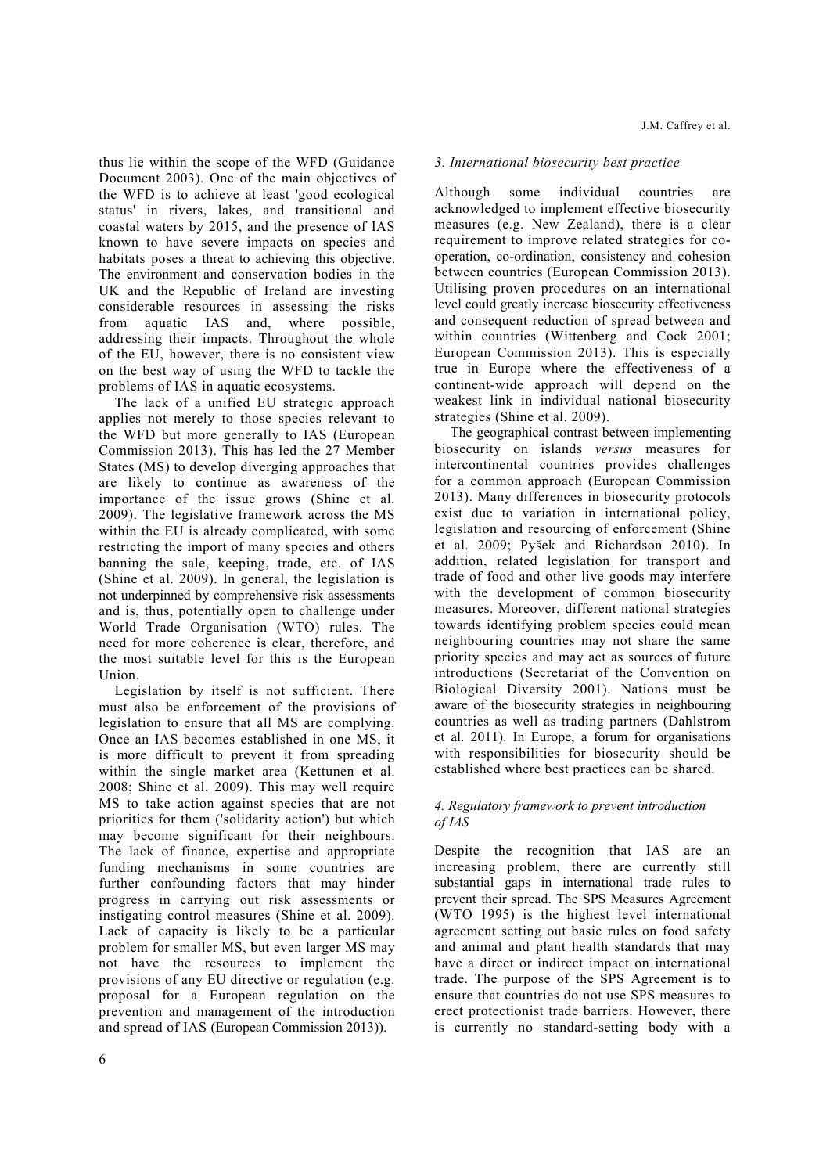thus lie within the scope of the WFD (Guidance Document 2003). One of the main objectives of the WFD is to achieve at least 'good ecological status' in rivers, lakes, and transitional and coastal waters by 2015, and the presence of IAS known to have severe impacts on species and habitats poses a threat to achieving this objective. The environment and conservation bodies in the UK and the Republic of Ireland are investing considerable resources in assessing the risks from aquatic IAS and, where possible, addressing their impacts. Throughout the whole of the EU, however, there is no consistent view on the best way of using the WFD to tackle the problems of IAS in aquatic ecosystems.

The lack of a unified EU strategic approach applies not merely to those species relevant to the WFD but more generally to IAS (European Commission 2013). This has led the 27 Member States (MS) to develop diverging approaches that are likely to continue as awareness of the importance of the issue grows (Shine et al. 2009). The legislative framework across the MS within the EU is already complicated, with some restricting the import of many species and others banning the sale, keeping, trade, etc. of IAS (Shine et al. 2009). In general, the legislation is not underpinned by comprehensive risk assessments and is, thus, potentially open to challenge under World Trade Organisation (WTO) rules. The need for more coherence is clear, therefore, and the most suitable level for this is the European Union.

Legislation by itself is not sufficient. There must also be enforcement of the provisions of legislation to ensure that all MS are complying. Once an IAS becomes established in one MS, it is more difficult to prevent it from spreading within the single market area (Kettunen et al. 2008; Shine et al. 2009). This may well require MS to take action against species that are not priorities for them ('solidarity action') but which may become significant for their neighbours. The lack of finance, expertise and appropriate funding mechanisms in some countries are further confounding factors that may hinder progress in carrying out risk assessments or instigating control measures (Shine et al. 2009). Lack of capacity is likely to be a particular problem for smaller MS, but even larger MS may not have the resources to implement the provisions of any EU directive or regulation (e.g. proposal for a European regulation on the prevention and management of the introduction and spread of IAS (European Commission 2013)).

#### *3. International biosecurity best practice*

Although some individual countries are acknowledged to implement effective biosecurity measures (e.g. New Zealand), there is a clear requirement to improve related strategies for cooperation, co-ordination, consistency and cohesion between countries (European Commission 2013). Utilising proven procedures on an international level could greatly increase biosecurity effectiveness and consequent reduction of spread between and within countries (Wittenberg and Cock 2001; European Commission 2013). This is especially true in Europe where the effectiveness of a continent-wide approach will depend on the weakest link in individual national biosecurity strategies (Shine et al. 2009).

The geographical contrast between implementing biosecurity on islands *versus* measures for intercontinental countries provides challenges for a common approach (European Commission 2013). Many differences in biosecurity protocols exist due to variation in international policy, legislation and resourcing of enforcement (Shine et al. 2009; Pyšek and Richardson 2010). In addition, related legislation for transport and trade of food and other live goods may interfere with the development of common biosecurity measures. Moreover, different national strategies towards identifying problem species could mean neighbouring countries may not share the same priority species and may act as sources of future introductions (Secretariat of the Convention on Biological Diversity 2001). Nations must be aware of the biosecurity strategies in neighbouring countries as well as trading partners (Dahlstrom et al. 2011). In Europe, a forum for organisations with responsibilities for biosecurity should be established where best practices can be shared.

#### *4. Regulatory framework to prevent introduction of IAS*

Despite the recognition that IAS are an increasing problem, there are currently still substantial gaps in international trade rules to prevent their spread. The SPS Measures Agreement (WTO 1995) is the highest level international agreement setting out basic rules on food safety and animal and plant health standards that may have a direct or indirect impact on international trade. The purpose of the SPS Agreement is to ensure that countries do not use SPS measures to erect protectionist trade barriers. However, there is currently no standard-setting body with a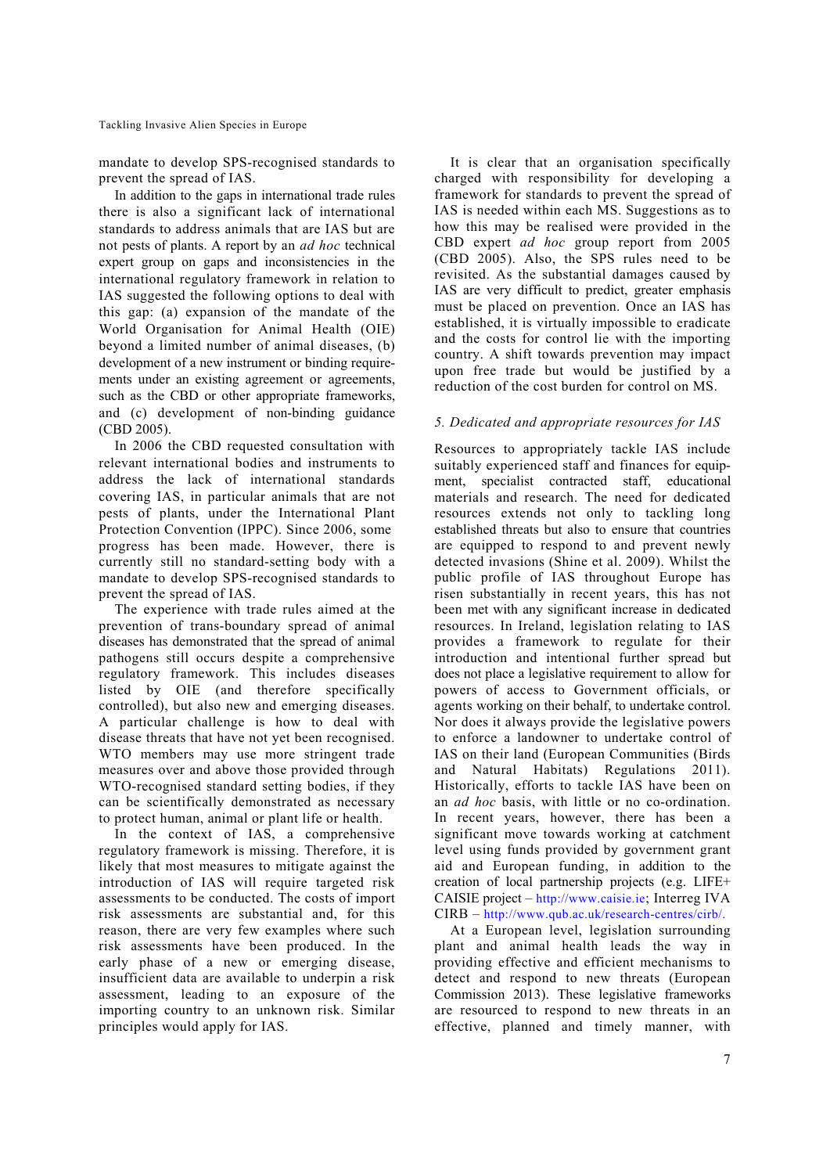mandate to develop SPS-recognised standards to prevent the spread of IAS.

In addition to the gaps in international trade rules there is also a significant lack of international standards to address animals that are IAS but are not pests of plants. A report by an *ad hoc* technical expert group on gaps and inconsistencies in the international regulatory framework in relation to IAS suggested the following options to deal with this gap: (a) expansion of the mandate of the World Organisation for Animal Health (OIE) beyond a limited number of animal diseases, (b) development of a new instrument or binding requirements under an existing agreement or agreements, such as the CBD or other appropriate frameworks, and (c) development of non-binding guidance (CBD 2005).

In 2006 the CBD requested consultation with relevant international bodies and instruments to address the lack of international standards covering IAS, in particular animals that are not pests of plants, under the International Plant Protection Convention (IPPC). Since 2006, some progress has been made. However, there is currently still no standard-setting body with a mandate to develop SPS-recognised standards to prevent the spread of IAS.

The experience with trade rules aimed at the prevention of trans-boundary spread of animal diseases has demonstrated that the spread of animal pathogens still occurs despite a comprehensive regulatory framework. This includes diseases listed by OIE (and therefore specifically controlled), but also new and emerging diseases. A particular challenge is how to deal with disease threats that have not yet been recognised. WTO members may use more stringent trade measures over and above those provided through WTO-recognised standard setting bodies, if they can be scientifically demonstrated as necessary to protect human, animal or plant life or health.

In the context of IAS, a comprehensive regulatory framework is missing. Therefore, it is likely that most measures to mitigate against the introduction of IAS will require targeted risk assessments to be conducted. The costs of import risk assessments are substantial and, for this reason, there are very few examples where such risk assessments have been produced. In the early phase of a new or emerging disease, insufficient data are available to underpin a risk assessment, leading to an exposure of the importing country to an unknown risk. Similar principles would apply for IAS.

It is clear that an organisation specifically charged with responsibility for developing a framework for standards to prevent the spread of IAS is needed within each MS. Suggestions as to how this may be realised were provided in the CBD expert *ad hoc* group report from 2005 (CBD 2005). Also, the SPS rules need to be revisited. As the substantial damages caused by IAS are very difficult to predict, greater emphasis must be placed on prevention. Once an IAS has established, it is virtually impossible to eradicate and the costs for control lie with the importing country. A shift towards prevention may impact upon free trade but would be justified by a reduction of the cost burden for control on MS.

#### *5. Dedicated and appropriate resources for IAS*

Resources to appropriately tackle IAS include suitably experienced staff and finances for equipment, specialist contracted staff, educational materials and research. The need for dedicated resources extends not only to tackling long established threats but also to ensure that countries are equipped to respond to and prevent newly detected invasions (Shine et al. 2009). Whilst the public profile of IAS throughout Europe has risen substantially in recent years, this has not been met with any significant increase in dedicated resources. In Ireland, legislation relating to IAS provides a framework to regulate for their introduction and intentional further spread but does not place a legislative requirement to allow for powers of access to Government officials, or agents working on their behalf, to undertake control. Nor does it always provide the legislative powers to enforce a landowner to undertake control of IAS on their land (European Communities (Birds and Natural Habitats) Regulations 2011). Historically, efforts to tackle IAS have been on an *ad hoc* basis, with little or no co-ordination. In recent years, however, there has been a significant move towards working at catchment level using funds provided by government grant aid and European funding, in addition to the creation of local partnership projects (e.g. LIFE+ CAISIE project – http://www.caisie.ie; Interreg IVA CIRB – http://www.qub.ac.uk/research-centres/cirb/.

At a European level, legislation surrounding plant and animal health leads the way in providing effective and efficient mechanisms to detect and respond to new threats (European Commission 2013). These legislative frameworks are resourced to respond to new threats in an effective, planned and timely manner, with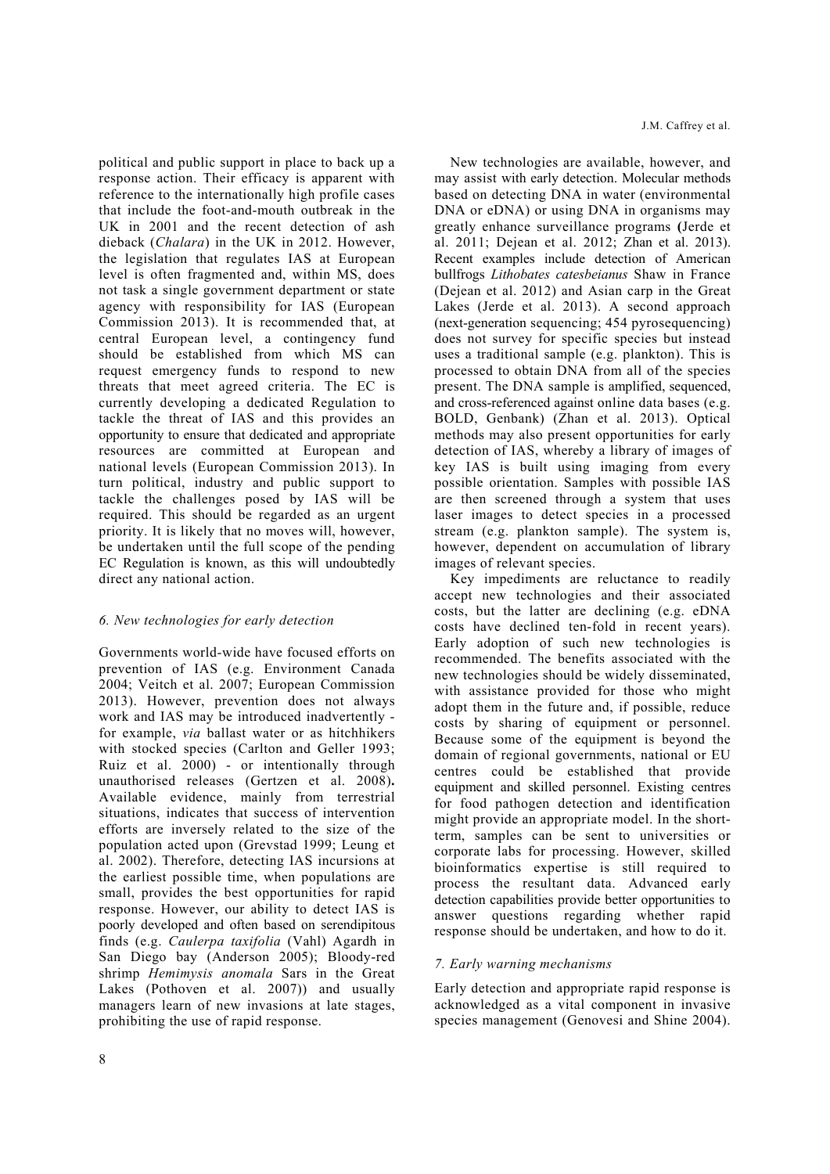political and public support in place to back up a response action. Their efficacy is apparent with reference to the internationally high profile cases that include the foot-and-mouth outbreak in the UK in 2001 and the recent detection of ash dieback (*Chalara*) in the UK in 2012. However, the legislation that regulates IAS at European level is often fragmented and, within MS, does not task a single government department or state agency with responsibility for IAS (European Commission 2013). It is recommended that, at central European level, a contingency fund should be established from which MS can request emergency funds to respond to new threats that meet agreed criteria. The EC is currently developing a dedicated Regulation to tackle the threat of IAS and this provides an opportunity to ensure that dedicated and appropriate resources are committed at European and national levels (European Commission 2013). In turn political, industry and public support to tackle the challenges posed by IAS will be required. This should be regarded as an urgent priority. It is likely that no moves will, however, be undertaken until the full scope of the pending EC Regulation is known, as this will undoubtedly direct any national action.

#### *6. New technologies for early detection*

Governments world-wide have focused efforts on prevention of IAS (e.g. Environment Canada 2004; Veitch et al. 2007; European Commission 2013). However, prevention does not always work and IAS may be introduced inadvertently for example, *via* ballast water or as hitchhikers with stocked species (Carlton and Geller 1993; Ruiz et al. 2000) - or intentionally through unauthorised releases (Gertzen et al. 2008)**.** Available evidence, mainly from terrestrial situations, indicates that success of intervention efforts are inversely related to the size of the population acted upon (Grevstad 1999; Leung et al. 2002). Therefore, detecting IAS incursions at the earliest possible time, when populations are small, provides the best opportunities for rapid response. However, our ability to detect IAS is poorly developed and often based on serendipitous finds (e.g. *Caulerpa taxifolia* (Vahl) Agardh in San Diego bay (Anderson 2005); Bloody-red shrimp *Hemimysis anomala* Sars in the Great Lakes (Pothoven et al. 2007)) and usually managers learn of new invasions at late stages, prohibiting the use of rapid response.

New technologies are available, however, and may assist with early detection. Molecular methods based on detecting DNA in water (environmental DNA or eDNA) or using DNA in organisms may greatly enhance surveillance programs **(**Jerde et al. 2011; Dejean et al. 2012; Zhan et al. 2013). Recent examples include detection of American bullfrogs *Lithobates catesbeianus* Shaw in France (Dejean et al. 2012) and Asian carp in the Great Lakes (Jerde et al. 2013). A second approach (next-generation sequencing; 454 pyrosequencing) does not survey for specific species but instead uses a traditional sample (e.g. plankton). This is processed to obtain DNA from all of the species present. The DNA sample is amplified, sequenced, and cross-referenced against online data bases (e.g. BOLD, Genbank) (Zhan et al. 2013). Optical methods may also present opportunities for early detection of IAS, whereby a library of images of key IAS is built using imaging from every possible orientation. Samples with possible IAS are then screened through a system that uses laser images to detect species in a processed stream (e.g. plankton sample). The system is, however, dependent on accumulation of library images of relevant species.

Key impediments are reluctance to readily accept new technologies and their associated costs, but the latter are declining (e.g. eDNA costs have declined ten-fold in recent years). Early adoption of such new technologies is recommended. The benefits associated with the new technologies should be widely disseminated, with assistance provided for those who might adopt them in the future and, if possible, reduce costs by sharing of equipment or personnel. Because some of the equipment is beyond the domain of regional governments, national or EU centres could be established that provide equipment and skilled personnel. Existing centres for food pathogen detection and identification might provide an appropriate model. In the shortterm, samples can be sent to universities or corporate labs for processing. However, skilled bioinformatics expertise is still required to process the resultant data. Advanced early detection capabilities provide better opportunities to answer questions regarding whether rapid response should be undertaken, and how to do it.

#### *7. Early warning mechanisms*

Early detection and appropriate rapid response is acknowledged as a vital component in invasive species management (Genovesi and Shine 2004).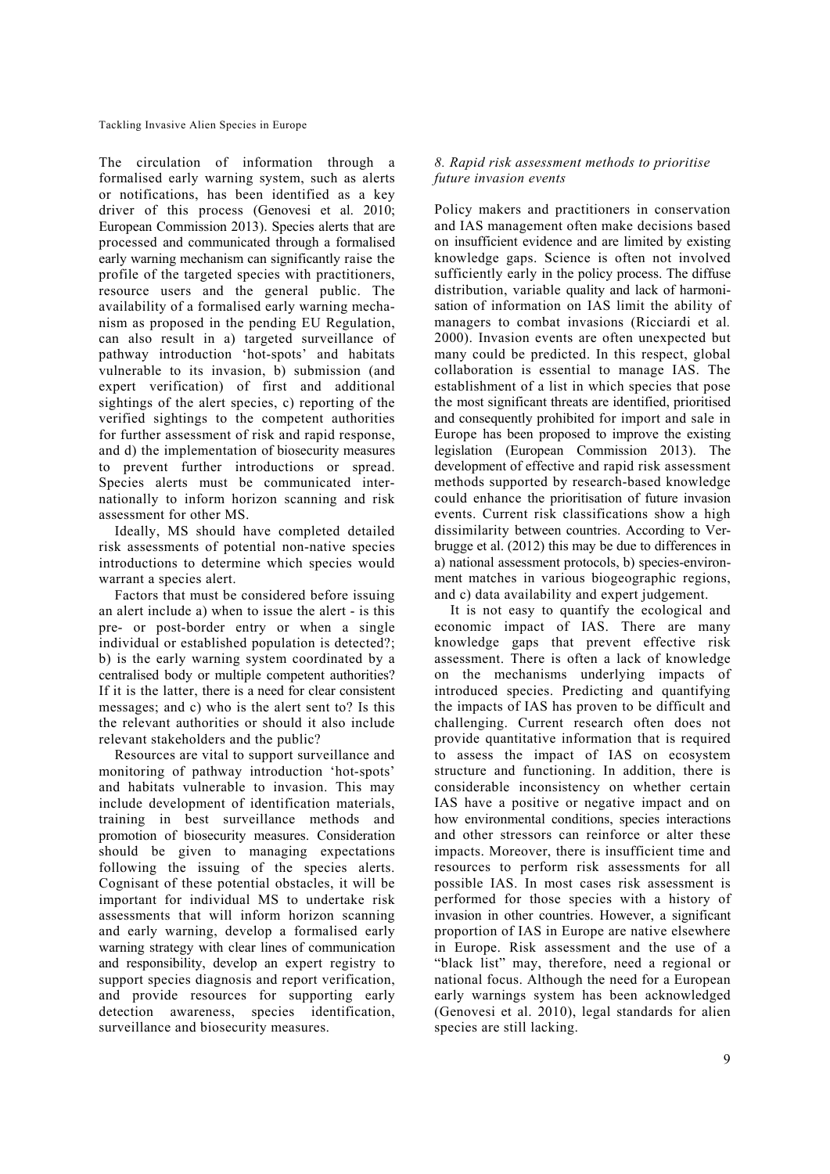The circulation of information through a formalised early warning system, such as alerts or notifications, has been identified as a key driver of this process (Genovesi et al. 2010; European Commission 2013). Species alerts that are processed and communicated through a formalised early warning mechanism can significantly raise the profile of the targeted species with practitioners, resource users and the general public. The availability of a formalised early warning mechanism as proposed in the pending EU Regulation, can also result in a) targeted surveillance of pathway introduction 'hot-spots' and habitats vulnerable to its invasion, b) submission (and expert verification) of first and additional sightings of the alert species, c) reporting of the verified sightings to the competent authorities for further assessment of risk and rapid response, and d) the implementation of biosecurity measures to prevent further introductions or spread. Species alerts must be communicated internationally to inform horizon scanning and risk assessment for other MS.

Ideally, MS should have completed detailed risk assessments of potential non-native species introductions to determine which species would warrant a species alert.

Factors that must be considered before issuing an alert include a) when to issue the alert - is this pre- or post-border entry or when a single individual or established population is detected?; b) is the early warning system coordinated by a centralised body or multiple competent authorities? If it is the latter, there is a need for clear consistent messages; and c) who is the alert sent to? Is this the relevant authorities or should it also include relevant stakeholders and the public?

Resources are vital to support surveillance and monitoring of pathway introduction 'hot-spots' and habitats vulnerable to invasion. This may include development of identification materials, training in best surveillance methods and promotion of biosecurity measures. Consideration should be given to managing expectations following the issuing of the species alerts. Cognisant of these potential obstacles, it will be important for individual MS to undertake risk assessments that will inform horizon scanning and early warning, develop a formalised early warning strategy with clear lines of communication and responsibility, develop an expert registry to support species diagnosis and report verification, and provide resources for supporting early detection awareness, species identification, surveillance and biosecurity measures.

# *8. Rapid risk assessment methods to prioritise future invasion events*

Policy makers and practitioners in conservation and IAS management often make decisions based on insufficient evidence and are limited by existing knowledge gaps. Science is often not involved sufficiently early in the policy process. The diffuse distribution, variable quality and lack of harmonisation of information on IAS limit the ability of managers to combat invasions (Ricciardi et al*.* 2000). Invasion events are often unexpected but many could be predicted. In this respect, global collaboration is essential to manage IAS. The establishment of a list in which species that pose the most significant threats are identified, prioritised and consequently prohibited for import and sale in Europe has been proposed to improve the existing legislation (European Commission 2013). The development of effective and rapid risk assessment methods supported by research-based knowledge could enhance the prioritisation of future invasion events. Current risk classifications show a high dissimilarity between countries. According to Verbrugge et al. (2012) this may be due to differences in a) national assessment protocols, b) species-environment matches in various biogeographic regions, and c) data availability and expert judgement.

It is not easy to quantify the ecological and economic impact of IAS. There are many knowledge gaps that prevent effective risk assessment. There is often a lack of knowledge on the mechanisms underlying impacts of introduced species. Predicting and quantifying the impacts of IAS has proven to be difficult and challenging. Current research often does not provide quantitative information that is required to assess the impact of IAS on ecosystem structure and functioning. In addition, there is considerable inconsistency on whether certain IAS have a positive or negative impact and on how environmental conditions, species interactions and other stressors can reinforce or alter these impacts. Moreover, there is insufficient time and resources to perform risk assessments for all possible IAS. In most cases risk assessment is performed for those species with a history of invasion in other countries. However, a significant proportion of IAS in Europe are native elsewhere in Europe. Risk assessment and the use of a "black list" may, therefore, need a regional or national focus. Although the need for a European early warnings system has been acknowledged (Genovesi et al. 2010), legal standards for alien species are still lacking.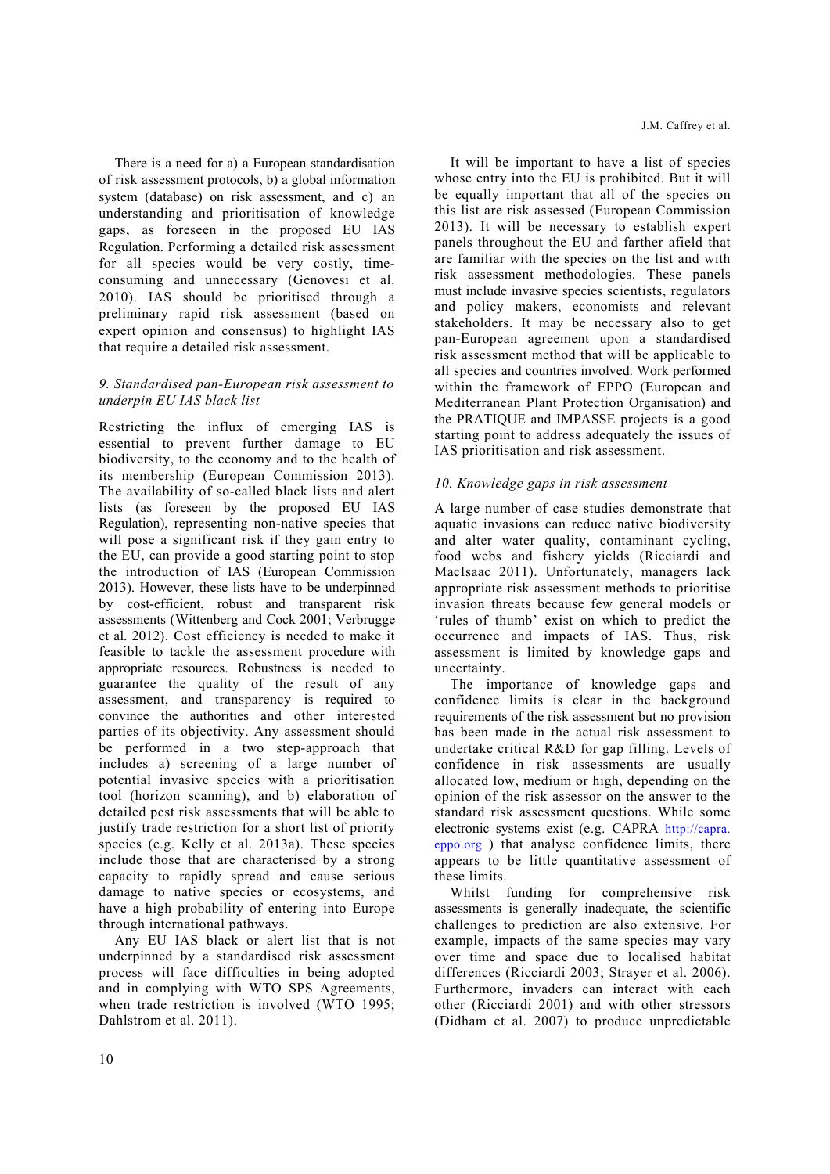There is a need for a) a European standardisation of risk assessment protocols, b) a global information system (database) on risk assessment, and c) an understanding and prioritisation of knowledge gaps, as foreseen in the proposed EU IAS Regulation. Performing a detailed risk assessment for all species would be very costly, timeconsuming and unnecessary (Genovesi et al. 2010). IAS should be prioritised through a preliminary rapid risk assessment (based on expert opinion and consensus) to highlight IAS that require a detailed risk assessment.

#### *9. Standardised pan-European risk assessment to underpin EU IAS black list*

Restricting the influx of emerging IAS is essential to prevent further damage to EU biodiversity, to the economy and to the health of its membership (European Commission 2013). The availability of so-called black lists and alert lists (as foreseen by the proposed EU IAS Regulation), representing non-native species that will pose a significant risk if they gain entry to the EU, can provide a good starting point to stop the introduction of IAS (European Commission 2013). However, these lists have to be underpinned by cost-efficient, robust and transparent risk assessments (Wittenberg and Cock 2001; Verbrugge et al. 2012). Cost efficiency is needed to make it feasible to tackle the assessment procedure with appropriate resources. Robustness is needed to guarantee the quality of the result of any assessment, and transparency is required to convince the authorities and other interested parties of its objectivity. Any assessment should be performed in a two step-approach that includes a) screening of a large number of potential invasive species with a prioritisation tool (horizon scanning), and b) elaboration of detailed pest risk assessments that will be able to justify trade restriction for a short list of priority species (e.g. Kelly et al. 2013a). These species include those that are characterised by a strong capacity to rapidly spread and cause serious damage to native species or ecosystems, and have a high probability of entering into Europe through international pathways.

Any EU IAS black or alert list that is not underpinned by a standardised risk assessment process will face difficulties in being adopted and in complying with WTO SPS Agreements, when trade restriction is involved (WTO 1995; Dahlstrom et al. 2011).

It will be important to have a list of species whose entry into the EU is prohibited. But it will be equally important that all of the species on this list are risk assessed (European Commission 2013). It will be necessary to establish expert panels throughout the EU and farther afield that are familiar with the species on the list and with risk assessment methodologies. These panels must include invasive species scientists, regulators and policy makers, economists and relevant stakeholders. It may be necessary also to get pan-European agreement upon a standardised risk assessment method that will be applicable to all species and countries involved. Work performed within the framework of EPPO (European and Mediterranean Plant Protection Organisation) and the PRATIQUE and IMPASSE projects is a good starting point to address adequately the issues of IAS prioritisation and risk assessment.

# *10. Knowledge gaps in risk assessment*

A large number of case studies demonstrate that aquatic invasions can reduce native biodiversity and alter water quality, contaminant cycling, food webs and fishery yields (Ricciardi and MacIsaac 2011). Unfortunately, managers lack appropriate risk assessment methods to prioritise invasion threats because few general models or 'rules of thumb' exist on which to predict the occurrence and impacts of IAS. Thus, risk assessment is limited by knowledge gaps and uncertainty.

The importance of knowledge gaps and confidence limits is clear in the background requirements of the risk assessment but no provision has been made in the actual risk assessment to undertake critical R&D for gap filling. Levels of confidence in risk assessments are usually allocated low, medium or high, depending on the opinion of the risk assessor on the answer to the standard risk assessment questions. While some electronic systems exist (e.g. CAPRA http://capra. eppo.org ) that analyse confidence limits, there appears to be little quantitative assessment of these limits.

Whilst funding for comprehensive risk assessments is generally inadequate, the scientific challenges to prediction are also extensive. For example, impacts of the same species may vary over time and space due to localised habitat differences (Ricciardi 2003; Strayer et al. 2006). Furthermore, invaders can interact with each other (Ricciardi 2001) and with other stressors (Didham et al. 2007) to produce unpredictable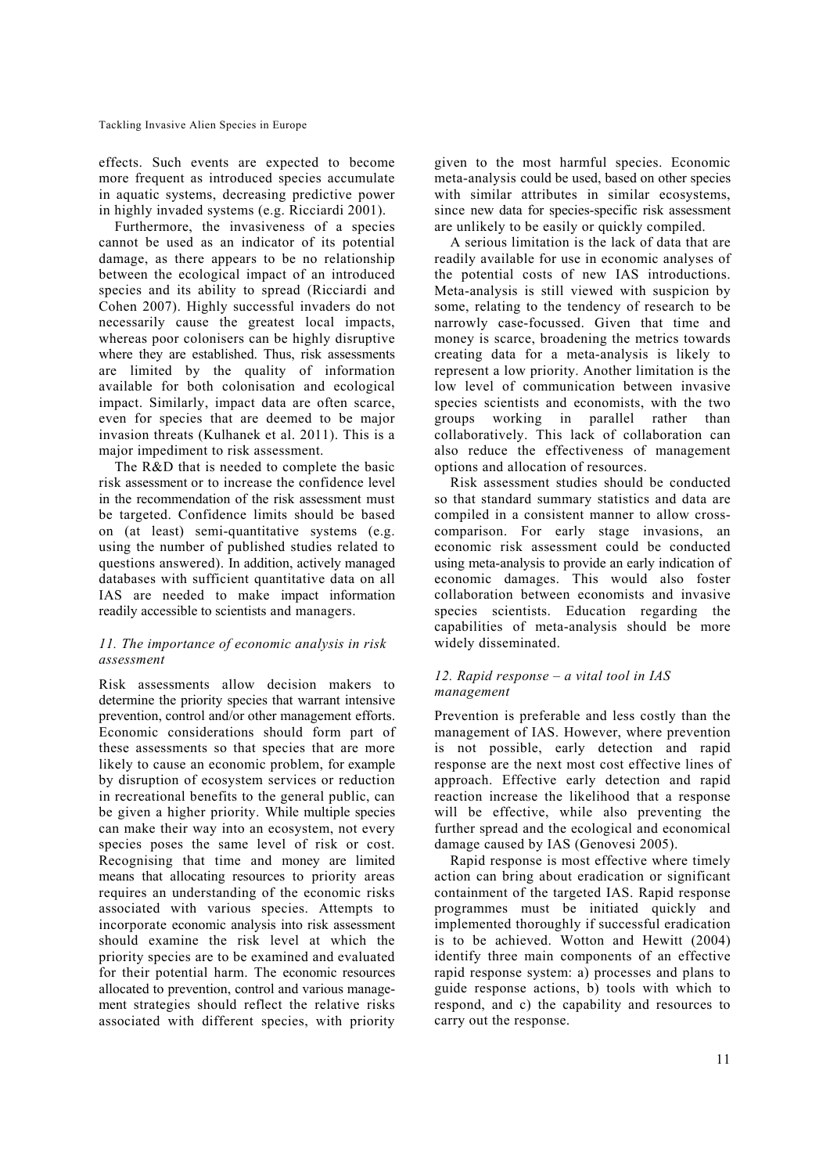effects. Such events are expected to become more frequent as introduced species accumulate in aquatic systems, decreasing predictive power in highly invaded systems (e.g. Ricciardi 2001).

Furthermore, the invasiveness of a species cannot be used as an indicator of its potential damage, as there appears to be no relationship between the ecological impact of an introduced species and its ability to spread (Ricciardi and Cohen 2007). Highly successful invaders do not necessarily cause the greatest local impacts, whereas poor colonisers can be highly disruptive where they are established. Thus, risk assessments are limited by the quality of information available for both colonisation and ecological impact. Similarly, impact data are often scarce, even for species that are deemed to be major invasion threats (Kulhanek et al. 2011). This is a major impediment to risk assessment.

The R&D that is needed to complete the basic risk assessment or to increase the confidence level in the recommendation of the risk assessment must be targeted. Confidence limits should be based on (at least) semi-quantitative systems (e.g. using the number of published studies related to questions answered). In addition, actively managed databases with sufficient quantitative data on all IAS are needed to make impact information readily accessible to scientists and managers.

# *11. The importance of economic analysis in risk assessment*

Risk assessments allow decision makers to determine the priority species that warrant intensive prevention, control and/or other management efforts. Economic considerations should form part of these assessments so that species that are more likely to cause an economic problem, for example by disruption of ecosystem services or reduction in recreational benefits to the general public, can be given a higher priority. While multiple species can make their way into an ecosystem, not every species poses the same level of risk or cost. Recognising that time and money are limited means that allocating resources to priority areas requires an understanding of the economic risks associated with various species. Attempts to incorporate economic analysis into risk assessment should examine the risk level at which the priority species are to be examined and evaluated for their potential harm. The economic resources allocated to prevention, control and various management strategies should reflect the relative risks associated with different species, with priority given to the most harmful species. Economic meta-analysis could be used, based on other species with similar attributes in similar ecosystems, since new data for species-specific risk assessment are unlikely to be easily or quickly compiled.

A serious limitation is the lack of data that are readily available for use in economic analyses of the potential costs of new IAS introductions. Meta-analysis is still viewed with suspicion by some, relating to the tendency of research to be narrowly case-focussed. Given that time and money is scarce, broadening the metrics towards creating data for a meta-analysis is likely to represent a low priority. Another limitation is the low level of communication between invasive species scientists and economists, with the two groups working in parallel rather than collaboratively. This lack of collaboration can also reduce the effectiveness of management options and allocation of resources.

Risk assessment studies should be conducted so that standard summary statistics and data are compiled in a consistent manner to allow crosscomparison. For early stage invasions, an economic risk assessment could be conducted using meta-analysis to provide an early indication of economic damages. This would also foster collaboration between economists and invasive species scientists. Education regarding the capabilities of meta-analysis should be more widely disseminated.

#### *12. Rapid response – a vital tool in IAS management*

Prevention is preferable and less costly than the management of IAS. However, where prevention is not possible, early detection and rapid response are the next most cost effective lines of approach. Effective early detection and rapid reaction increase the likelihood that a response will be effective, while also preventing the further spread and the ecological and economical damage caused by IAS (Genovesi 2005).

Rapid response is most effective where timely action can bring about eradication or significant containment of the targeted IAS. Rapid response programmes must be initiated quickly and implemented thoroughly if successful eradication is to be achieved. Wotton and Hewitt (2004) identify three main components of an effective rapid response system: a) processes and plans to guide response actions, b) tools with which to respond, and c) the capability and resources to carry out the response.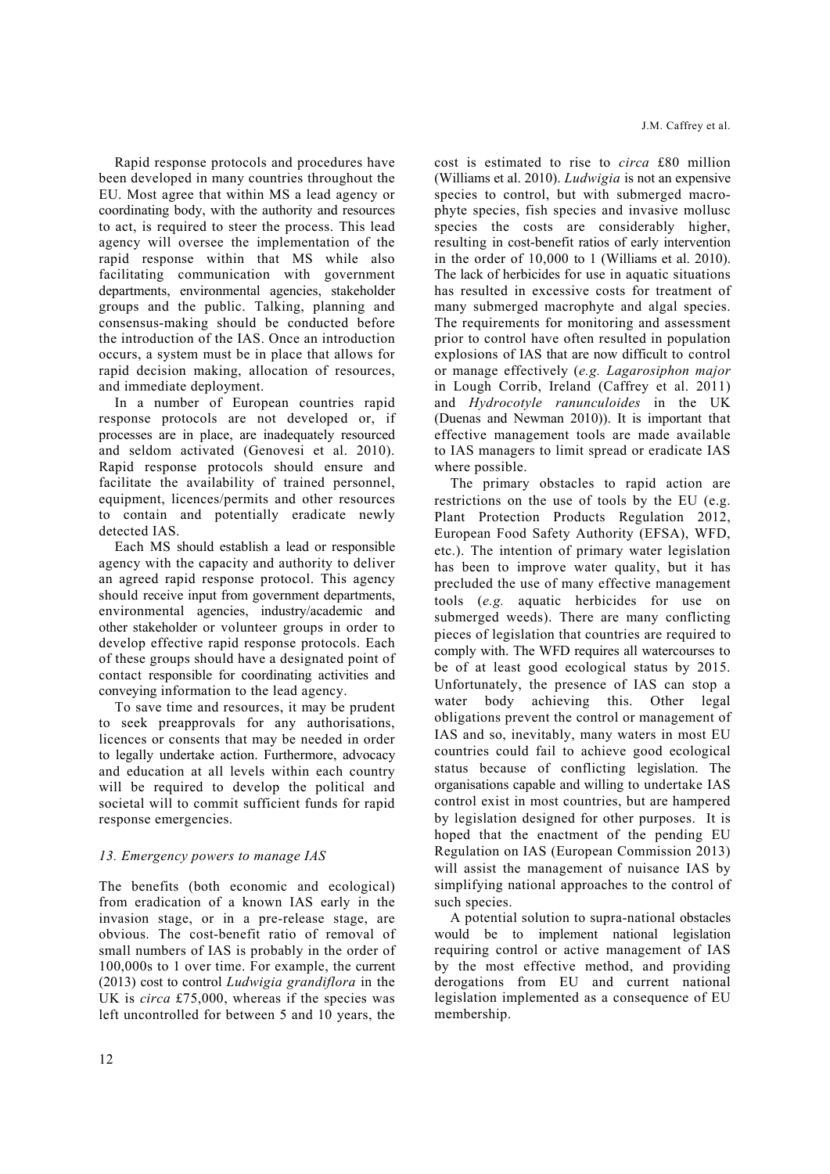Rapid response protocols and procedures have been developed in many countries throughout the EU. Most agree that within MS a lead agency or coordinating body, with the authority and resources to act, is required to steer the process. This lead agency will oversee the implementation of the rapid response within that MS while also facilitating communication with government departments, environmental agencies, stakeholder groups and the public. Talking, planning and consensus-making should be conducted before the introduction of the IAS. Once an introduction occurs, a system must be in place that allows for rapid decision making, allocation of resources, and immediate deployment.

In a number of European countries rapid response protocols are not developed or, if processes are in place, are inadequately resourced and seldom activated (Genovesi et al. 2010). Rapid response protocols should ensure and facilitate the availability of trained personnel, equipment, licences/permits and other resources to contain and potentially eradicate newly detected IAS.

Each MS should establish a lead or responsible agency with the capacity and authority to deliver an agreed rapid response protocol. This agency should receive input from government departments, environmental agencies, industry/academic and other stakeholder or volunteer groups in order to develop effective rapid response protocols. Each of these groups should have a designated point of contact responsible for coordinating activities and conveying information to the lead agency.

To save time and resources, it may be prudent to seek preapprovals for any authorisations, licences or consents that may be needed in order to legally undertake action. Furthermore, advocacy and education at all levels within each country will be required to develop the political and societal will to commit sufficient funds for rapid response emergencies.

#### *13. Emergency powers to manage IAS*

The benefits (both economic and ecological) from eradication of a known IAS early in the invasion stage, or in a pre-release stage, are obvious. The cost-benefit ratio of removal of small numbers of IAS is probably in the order of 100,000s to 1 over time. For example, the current (2013) cost to control *Ludwigia grandiflora* in the UK is *circa* £75,000, whereas if the species was left uncontrolled for between 5 and 10 years, the cost is estimated to rise to *circa* £80 million (Williams et al. 2010). *Ludwigia* is not an expensive species to control, but with submerged macrophyte species, fish species and invasive mollusc species the costs are considerably higher, resulting in cost-benefit ratios of early intervention in the order of 10,000 to 1 (Williams et al. 2010). The lack of herbicides for use in aquatic situations has resulted in excessive costs for treatment of many submerged macrophyte and algal species. The requirements for monitoring and assessment prior to control have often resulted in population explosions of IAS that are now difficult to control or manage effectively (*e.g. Lagarosiphon major* in Lough Corrib, Ireland (Caffrey et al. 2011) and *Hydrocotyle ranunculoides* in the UK (Duenas and Newman 2010)). It is important that effective management tools are made available to IAS managers to limit spread or eradicate IAS where possible.

The primary obstacles to rapid action are restrictions on the use of tools by the EU (e.g. Plant Protection Products Regulation 2012, European Food Safety Authority (EFSA), WFD, etc.). The intention of primary water legislation has been to improve water quality, but it has precluded the use of many effective management tools (*e.g.* aquatic herbicides for use on submerged weeds). There are many conflicting pieces of legislation that countries are required to comply with. The WFD requires all watercourses to be of at least good ecological status by 2015. Unfortunately, the presence of IAS can stop a water body achieving this. Other legal obligations prevent the control or management of IAS and so, inevitably, many waters in most EU countries could fail to achieve good ecological status because of conflicting legislation. The organisations capable and willing to undertake IAS control exist in most countries, but are hampered by legislation designed for other purposes. It is hoped that the enactment of the pending EU Regulation on IAS (European Commission 2013) will assist the management of nuisance IAS by simplifying national approaches to the control of such species.

A potential solution to supra-national obstacles would be to implement national legislation requiring control or active management of IAS by the most effective method, and providing derogations from EU and current national legislation implemented as a consequence of EU membership.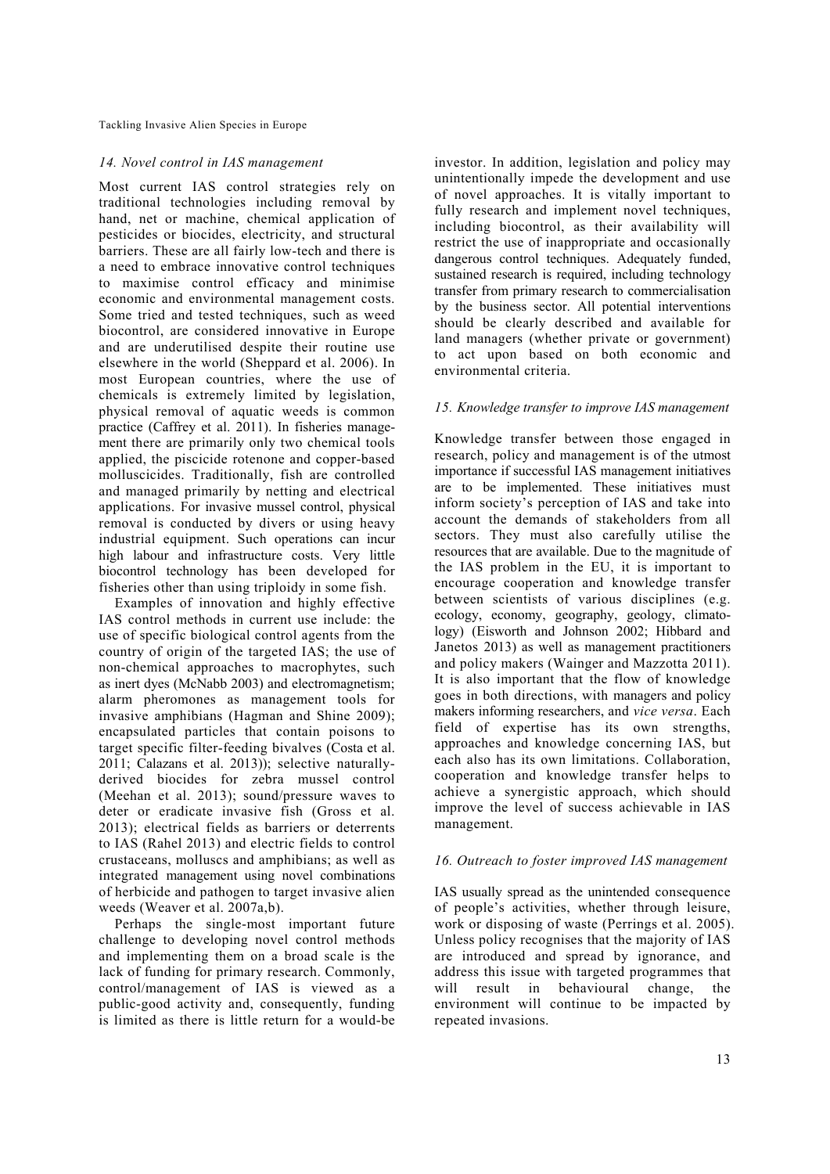# *14. Novel control in IAS management*

Most current IAS control strategies rely on traditional technologies including removal by hand, net or machine, chemical application of pesticides or biocides, electricity, and structural barriers. These are all fairly low-tech and there is a need to embrace innovative control techniques to maximise control efficacy and minimise economic and environmental management costs. Some tried and tested techniques, such as weed biocontrol, are considered innovative in Europe and are underutilised despite their routine use elsewhere in the world (Sheppard et al. 2006). In most European countries, where the use of chemicals is extremely limited by legislation, physical removal of aquatic weeds is common practice (Caffrey et al. 2011). In fisheries management there are primarily only two chemical tools applied, the piscicide rotenone and copper-based molluscicides. Traditionally, fish are controlled and managed primarily by netting and electrical applications. For invasive mussel control, physical removal is conducted by divers or using heavy industrial equipment. Such operations can incur high labour and infrastructure costs. Very little biocontrol technology has been developed for fisheries other than using triploidy in some fish.

Examples of innovation and highly effective IAS control methods in current use include: the use of specific biological control agents from the country of origin of the targeted IAS; the use of non-chemical approaches to macrophytes, such as inert dyes (McNabb 2003) and electromagnetism; alarm pheromones as management tools for invasive amphibians (Hagman and Shine 2009); encapsulated particles that contain poisons to target specific filter-feeding bivalves (Costa et al. 2011; Calazans et al. 2013)); selective naturallyderived biocides for zebra mussel control (Meehan et al. 2013); sound/pressure waves to deter or eradicate invasive fish (Gross et al. 2013); electrical fields as barriers or deterrents to IAS (Rahel 2013) and electric fields to control crustaceans, molluscs and amphibians; as well as integrated management using novel combinations of herbicide and pathogen to target invasive alien weeds (Weaver et al. 2007a,b).

Perhaps the single-most important future challenge to developing novel control methods and implementing them on a broad scale is the lack of funding for primary research. Commonly, control/management of IAS is viewed as a public-good activity and, consequently, funding is limited as there is little return for a would-be investor. In addition, legislation and policy may unintentionally impede the development and use of novel approaches. It is vitally important to fully research and implement novel techniques, including biocontrol, as their availability will restrict the use of inappropriate and occasionally dangerous control techniques. Adequately funded, sustained research is required, including technology transfer from primary research to commercialisation by the business sector. All potential interventions should be clearly described and available for land managers (whether private or government) to act upon based on both economic and environmental criteria.

#### *15. Knowledge transfer to improve IAS management*

Knowledge transfer between those engaged in research, policy and management is of the utmost importance if successful IAS management initiatives are to be implemented. These initiatives must inform society's perception of IAS and take into account the demands of stakeholders from all sectors. They must also carefully utilise the resources that are available. Due to the magnitude of the IAS problem in the EU, it is important to encourage cooperation and knowledge transfer between scientists of various disciplines (e.g. ecology, economy, geography, geology, climatology) (Eisworth and Johnson 2002; Hibbard and Janetos 2013) as well as management practitioners and policy makers (Wainger and Mazzotta 2011). It is also important that the flow of knowledge goes in both directions, with managers and policy makers informing researchers, and *vice versa*. Each field of expertise has its own strengths, approaches and knowledge concerning IAS, but each also has its own limitations. Collaboration, cooperation and knowledge transfer helps to achieve a synergistic approach, which should improve the level of success achievable in IAS management.

#### *16. Outreach to foster improved IAS management*

IAS usually spread as the unintended consequence of people's activities, whether through leisure, work or disposing of waste (Perrings et al. 2005). Unless policy recognises that the majority of IAS are introduced and spread by ignorance, and address this issue with targeted programmes that will result in behavioural change, the environment will continue to be impacted by repeated invasions.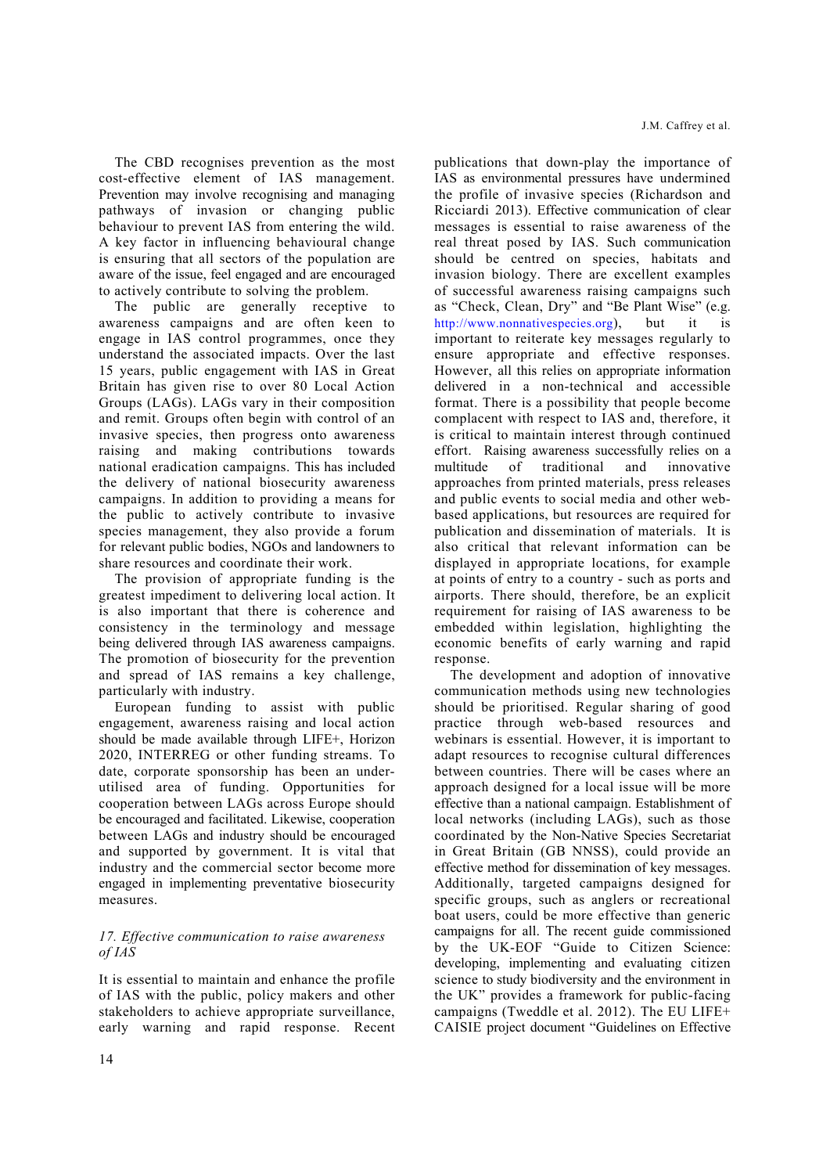The CBD recognises prevention as the most cost-effective element of IAS management. Prevention may involve recognising and managing pathways of invasion or changing public behaviour to prevent IAS from entering the wild. A key factor in influencing behavioural change is ensuring that all sectors of the population are aware of the issue, feel engaged and are encouraged to actively contribute to solving the problem.

The public are generally receptive to awareness campaigns and are often keen to engage in IAS control programmes, once they understand the associated impacts. Over the last 15 years, public engagement with IAS in Great Britain has given rise to over 80 Local Action Groups (LAGs). LAGs vary in their composition and remit. Groups often begin with control of an invasive species, then progress onto awareness raising and making contributions towards national eradication campaigns. This has included the delivery of national biosecurity awareness campaigns. In addition to providing a means for the public to actively contribute to invasive species management, they also provide a forum for relevant public bodies, NGOs and landowners to share resources and coordinate their work.

The provision of appropriate funding is the greatest impediment to delivering local action. It is also important that there is coherence and consistency in the terminology and message being delivered through IAS awareness campaigns. The promotion of biosecurity for the prevention and spread of IAS remains a key challenge, particularly with industry.

European funding to assist with public engagement, awareness raising and local action should be made available through LIFE+, Horizon 2020, INTERREG or other funding streams. To date, corporate sponsorship has been an underutilised area of funding. Opportunities for cooperation between LAGs across Europe should be encouraged and facilitated. Likewise, cooperation between LAGs and industry should be encouraged and supported by government. It is vital that industry and the commercial sector become more engaged in implementing preventative biosecurity measures.

#### *17. Effective communication to raise awareness of IAS*

It is essential to maintain and enhance the profile of IAS with the public, policy makers and other stakeholders to achieve appropriate surveillance, early warning and rapid response. Recent

14

publications that down-play the importance of IAS as environmental pressures have undermined the profile of invasive species (Richardson and Ricciardi 2013). Effective communication of clear messages is essential to raise awareness of the real threat posed by IAS. Such communication should be centred on species, habitats and invasion biology. There are excellent examples of successful awareness raising campaigns such as "Check, Clean, Dry" and "Be Plant Wise" (e.g. http://www.nonnativespecies.org), but it is important to reiterate key messages regularly to ensure appropriate and effective responses. However, all this relies on appropriate information delivered in a non-technical and accessible format. There is a possibility that people become complacent with respect to IAS and, therefore, it is critical to maintain interest through continued effort. Raising awareness successfully relies on a multitude of traditional and innovative approaches from printed materials, press releases and public events to social media and other webbased applications, but resources are required for publication and dissemination of materials. It is also critical that relevant information can be displayed in appropriate locations, for example at points of entry to a country - such as ports and airports. There should, therefore, be an explicit requirement for raising of IAS awareness to be embedded within legislation, highlighting the economic benefits of early warning and rapid response.

The development and adoption of innovative communication methods using new technologies should be prioritised. Regular sharing of good practice through web-based resources and webinars is essential. However, it is important to adapt resources to recognise cultural differences between countries. There will be cases where an approach designed for a local issue will be more effective than a national campaign. Establishment of local networks (including LAGs), such as those coordinated by the Non-Native Species Secretariat in Great Britain (GB NNSS), could provide an effective method for dissemination of key messages. Additionally, targeted campaigns designed for specific groups, such as anglers or recreational boat users, could be more effective than generic campaigns for all. The recent guide commissioned by the UK-EOF "Guide to Citizen Science: developing, implementing and evaluating citizen science to study biodiversity and the environment in the UK" provides a framework for public-facing campaigns (Tweddle et al. 2012). The EU LIFE+ CAISIE project document "Guidelines on Effective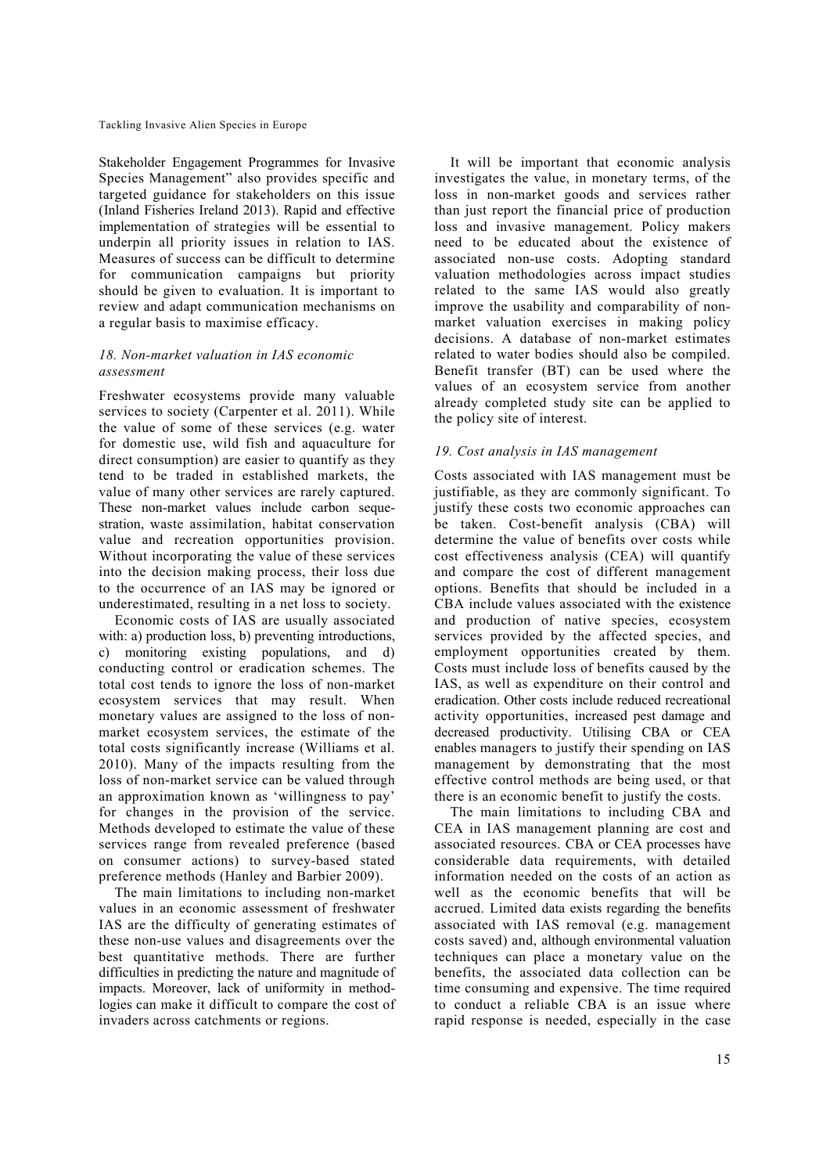Stakeholder Engagement Programmes for Invasive Species Management" also provides specific and targeted guidance for stakeholders on this issue (Inland Fisheries Ireland 2013). Rapid and effective implementation of strategies will be essential to underpin all priority issues in relation to IAS. Measures of success can be difficult to determine for communication campaigns but priority should be given to evaluation. It is important to review and adapt communication mechanisms on a regular basis to maximise efficacy.

# *18. Non-market valuation in IAS economic assessment*

Freshwater ecosystems provide many valuable services to society (Carpenter et al. 2011). While the value of some of these services (e.g. water for domestic use, wild fish and aquaculture for direct consumption) are easier to quantify as they tend to be traded in established markets, the value of many other services are rarely captured. These non-market values include carbon sequestration, waste assimilation, habitat conservation value and recreation opportunities provision. Without incorporating the value of these services into the decision making process, their loss due to the occurrence of an IAS may be ignored or underestimated, resulting in a net loss to society.

Economic costs of IAS are usually associated with: a) production loss, b) preventing introductions, c) monitoring existing populations, and d) conducting control or eradication schemes. The total cost tends to ignore the loss of non-market ecosystem services that may result. When monetary values are assigned to the loss of nonmarket ecosystem services, the estimate of the total costs significantly increase (Williams et al. 2010). Many of the impacts resulting from the loss of non-market service can be valued through an approximation known as 'willingness to pay' for changes in the provision of the service. Methods developed to estimate the value of these services range from revealed preference (based on consumer actions) to survey-based stated preference methods (Hanley and Barbier 2009).

The main limitations to including non-market values in an economic assessment of freshwater IAS are the difficulty of generating estimates of these non-use values and disagreements over the best quantitative methods. There are further difficulties in predicting the nature and magnitude of impacts. Moreover, lack of uniformity in methodlogies can make it difficult to compare the cost of invaders across catchments or regions.

It will be important that economic analysis investigates the value, in monetary terms, of the loss in non-market goods and services rather than just report the financial price of production loss and invasive management. Policy makers need to be educated about the existence of associated non-use costs. Adopting standard valuation methodologies across impact studies related to the same IAS would also greatly improve the usability and comparability of nonmarket valuation exercises in making policy decisions. A database of non-market estimates related to water bodies should also be compiled. Benefit transfer (BT) can be used where the values of an ecosystem service from another already completed study site can be applied to the policy site of interest.

# *19. Cost analysis in IAS management*

Costs associated with IAS management must be justifiable, as they are commonly significant. To justify these costs two economic approaches can be taken. Cost-benefit analysis (CBA) will determine the value of benefits over costs while cost effectiveness analysis (CEA) will quantify and compare the cost of different management options. Benefits that should be included in a CBA include values associated with the existence and production of native species, ecosystem services provided by the affected species, and employment opportunities created by them. Costs must include loss of benefits caused by the IAS, as well as expenditure on their control and eradication. Other costs include reduced recreational activity opportunities, increased pest damage and decreased productivity. Utilising CBA or CEA enables managers to justify their spending on IAS management by demonstrating that the most effective control methods are being used, or that there is an economic benefit to justify the costs.

The main limitations to including CBA and CEA in IAS management planning are cost and associated resources. CBA or CEA processes have considerable data requirements, with detailed information needed on the costs of an action as well as the economic benefits that will be accrued. Limited data exists regarding the benefits associated with IAS removal (e.g. management costs saved) and, although environmental valuation techniques can place a monetary value on the benefits, the associated data collection can be time consuming and expensive. The time required to conduct a reliable CBA is an issue where rapid response is needed, especially in the case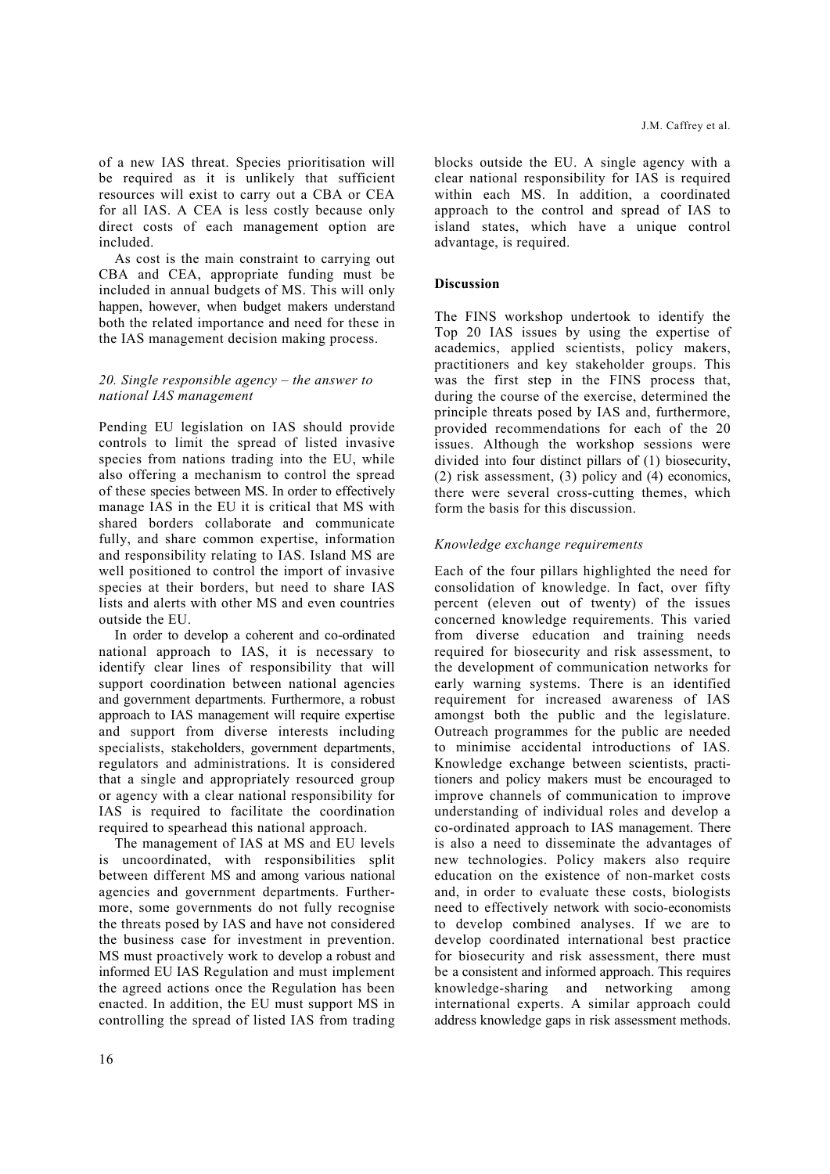of a new IAS threat. Species prioritisation will be required as it is unlikely that sufficient resources will exist to carry out a CBA or CEA for all IAS. A CEA is less costly because only direct costs of each management option are included.

As cost is the main constraint to carrying out CBA and CEA, appropriate funding must be included in annual budgets of MS. This will only happen, however, when budget makers understand both the related importance and need for these in the IAS management decision making process.

#### *20. Single responsible agency – the answer to national IAS management*

Pending EU legislation on IAS should provide controls to limit the spread of listed invasive species from nations trading into the EU, while also offering a mechanism to control the spread of these species between MS. In order to effectively manage IAS in the EU it is critical that MS with shared borders collaborate and communicate fully, and share common expertise, information and responsibility relating to IAS. Island MS are well positioned to control the import of invasive species at their borders, but need to share IAS lists and alerts with other MS and even countries outside the EU.

In order to develop a coherent and co-ordinated national approach to IAS, it is necessary to identify clear lines of responsibility that will support coordination between national agencies and government departments. Furthermore, a robust approach to IAS management will require expertise and support from diverse interests including specialists, stakeholders, government departments, regulators and administrations. It is considered that a single and appropriately resourced group or agency with a clear national responsibility for IAS is required to facilitate the coordination required to spearhead this national approach.

The management of IAS at MS and EU levels is uncoordinated, with responsibilities split between different MS and among various national agencies and government departments. Furthermore, some governments do not fully recognise the threats posed by IAS and have not considered the business case for investment in prevention. MS must proactively work to develop a robust and informed EU IAS Regulation and must implement the agreed actions once the Regulation has been enacted. In addition, the EU must support MS in controlling the spread of listed IAS from trading blocks outside the EU. A single agency with a clear national responsibility for IAS is required within each MS. In addition, a coordinated approach to the control and spread of IAS to island states, which have a unique control advantage, is required.

#### **Discussion**

The FINS workshop undertook to identify the Top 20 IAS issues by using the expertise of academics, applied scientists, policy makers, practitioners and key stakeholder groups. This was the first step in the FINS process that, during the course of the exercise, determined the principle threats posed by IAS and, furthermore, provided recommendations for each of the 20 issues. Although the workshop sessions were divided into four distinct pillars of (1) biosecurity, (2) risk assessment, (3) policy and (4) economics, there were several cross-cutting themes, which form the basis for this discussion.

# *Knowledge exchange requirements*

Each of the four pillars highlighted the need for consolidation of knowledge. In fact, over fifty percent (eleven out of twenty) of the issues concerned knowledge requirements. This varied from diverse education and training needs required for biosecurity and risk assessment, to the development of communication networks for early warning systems. There is an identified requirement for increased awareness of IAS amongst both the public and the legislature. Outreach programmes for the public are needed to minimise accidental introductions of IAS. Knowledge exchange between scientists, practitioners and policy makers must be encouraged to improve channels of communication to improve understanding of individual roles and develop a co-ordinated approach to IAS management. There is also a need to disseminate the advantages of new technologies. Policy makers also require education on the existence of non-market costs and, in order to evaluate these costs, biologists need to effectively network with socio-economists to develop combined analyses. If we are to develop coordinated international best practice for biosecurity and risk assessment, there must be a consistent and informed approach. This requires knowledge-sharing and networking among international experts. A similar approach could address knowledge gaps in risk assessment methods.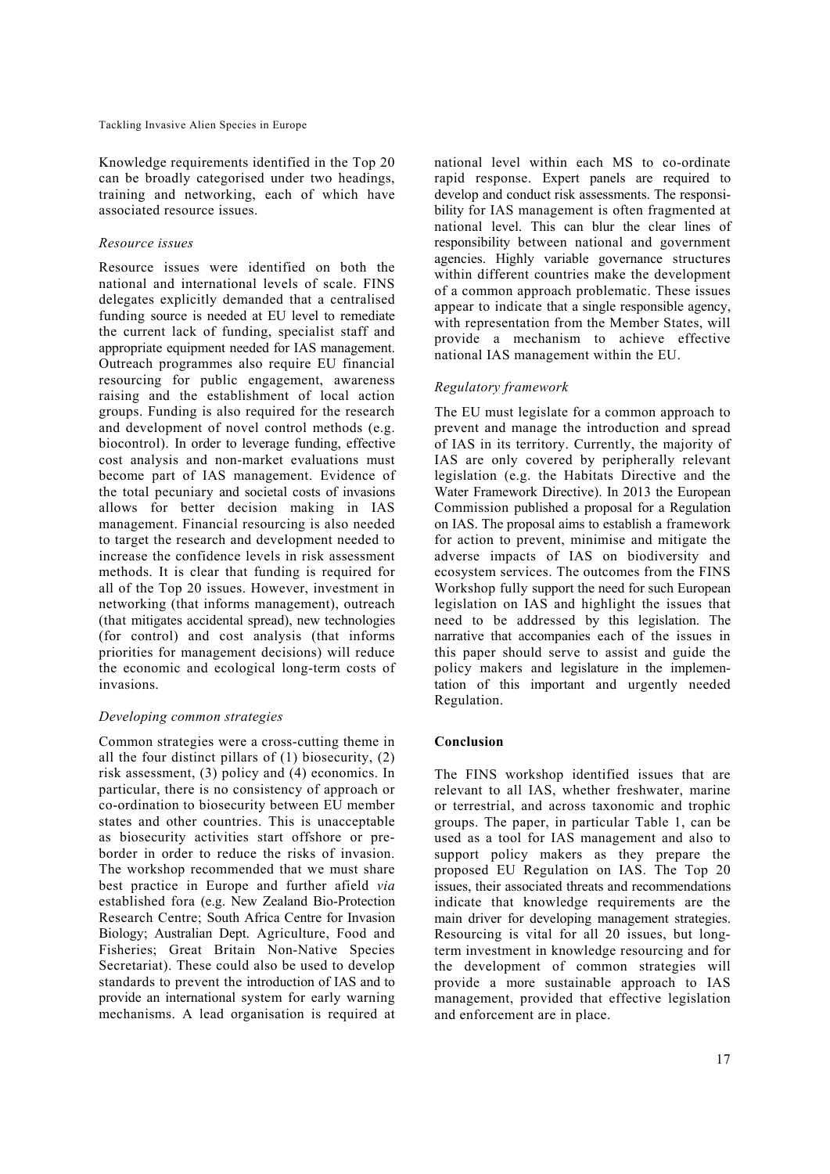Knowledge requirements identified in the Top 20 can be broadly categorised under two headings, training and networking, each of which have associated resource issues.

#### *Resource issues*

Resource issues were identified on both the national and international levels of scale. FINS delegates explicitly demanded that a centralised funding source is needed at EU level to remediate the current lack of funding, specialist staff and appropriate equipment needed for IAS management. Outreach programmes also require EU financial resourcing for public engagement, awareness raising and the establishment of local action groups. Funding is also required for the research and development of novel control methods (e.g. biocontrol). In order to leverage funding, effective cost analysis and non-market evaluations must become part of IAS management. Evidence of the total pecuniary and societal costs of invasions allows for better decision making in IAS management. Financial resourcing is also needed to target the research and development needed to increase the confidence levels in risk assessment methods. It is clear that funding is required for all of the Top 20 issues. However, investment in networking (that informs management), outreach (that mitigates accidental spread), new technologies (for control) and cost analysis (that informs priorities for management decisions) will reduce the economic and ecological long-term costs of invasions.

# *Developing common strategies*

Common strategies were a cross-cutting theme in all the four distinct pillars of (1) biosecurity, (2) risk assessment, (3) policy and (4) economics. In particular, there is no consistency of approach or co-ordination to biosecurity between EU member states and other countries. This is unacceptable as biosecurity activities start offshore or preborder in order to reduce the risks of invasion. The workshop recommended that we must share best practice in Europe and further afield *via* established fora (e.g. New Zealand Bio-Protection Research Centre; South Africa Centre for Invasion Biology; Australian Dept. Agriculture, Food and Fisheries; Great Britain Non-Native Species Secretariat). These could also be used to develop standards to prevent the introduction of IAS and to provide an international system for early warning mechanisms. A lead organisation is required at national level within each MS to co-ordinate rapid response. Expert panels are required to develop and conduct risk assessments. The responsibility for IAS management is often fragmented at national level. This can blur the clear lines of responsibility between national and government agencies. Highly variable governance structures within different countries make the development of a common approach problematic. These issues appear to indicate that a single responsible agency, with representation from the Member States, will provide a mechanism to achieve effective national IAS management within the EU.

# *Regulatory framework*

The EU must legislate for a common approach to prevent and manage the introduction and spread of IAS in its territory. Currently, the majority of IAS are only covered by peripherally relevant legislation (e.g. the Habitats Directive and the Water Framework Directive). In 2013 the European Commission published a proposal for a Regulation on IAS. The proposal aims to establish a framework for action to prevent, minimise and mitigate the adverse impacts of IAS on biodiversity and ecosystem services. The outcomes from the FINS Workshop fully support the need for such European legislation on IAS and highlight the issues that need to be addressed by this legislation. The narrative that accompanies each of the issues in this paper should serve to assist and guide the policy makers and legislature in the implementation of this important and urgently needed Regulation.

#### **Conclusion**

The FINS workshop identified issues that are relevant to all IAS, whether freshwater, marine or terrestrial, and across taxonomic and trophic groups. The paper, in particular Table 1, can be used as a tool for IAS management and also to support policy makers as they prepare the proposed EU Regulation on IAS. The Top 20 issues, their associated threats and recommendations indicate that knowledge requirements are the main driver for developing management strategies. Resourcing is vital for all 20 issues, but longterm investment in knowledge resourcing and for the development of common strategies will provide a more sustainable approach to IAS management, provided that effective legislation and enforcement are in place.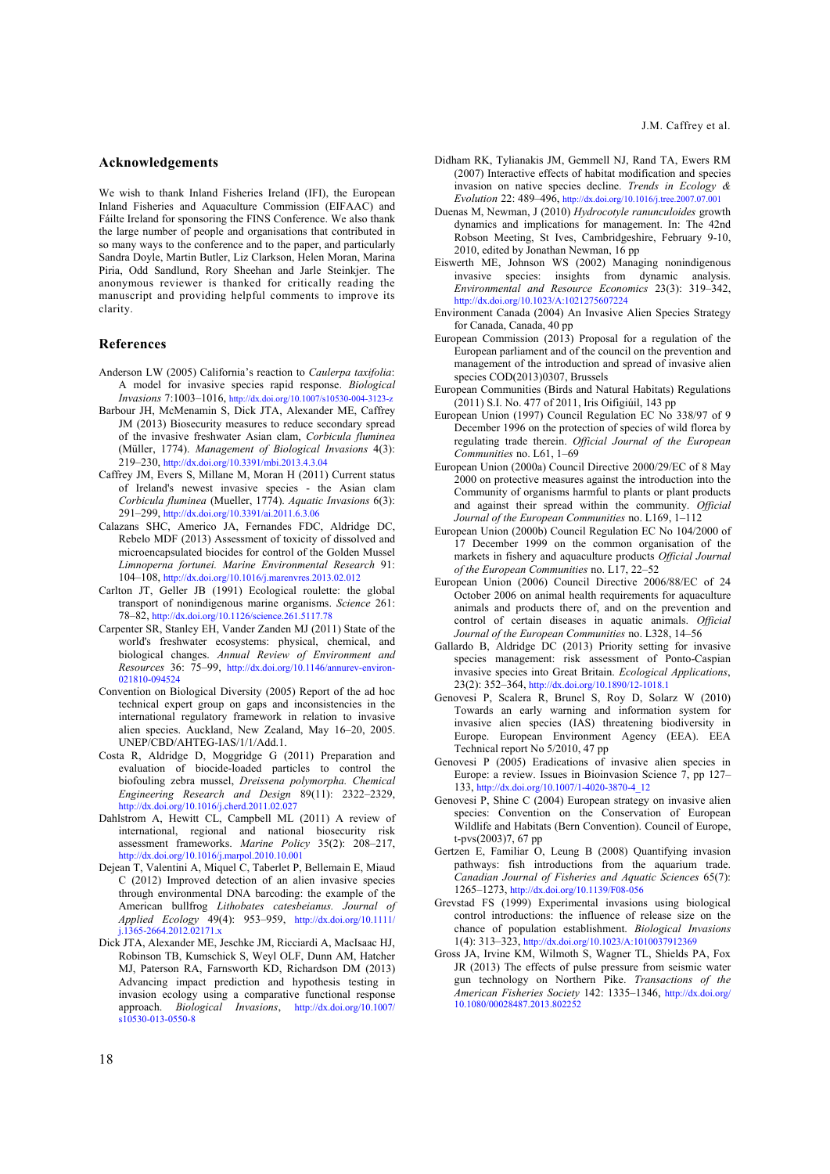#### **Acknowledgements**

We wish to thank Inland Fisheries Ireland (IFI), the European Inland Fisheries and Aquaculture Commission (EIFAAC) and Fáilte Ireland for sponsoring the FINS Conference. We also thank the large number of people and organisations that contributed in so many ways to the conference and to the paper, and particularly Sandra Doyle, Martin Butler, Liz Clarkson, Helen Moran, Marina Piria, Odd Sandlund, Rory Sheehan and Jarle Steinkjer. The anonymous reviewer is thanked for critically reading the manuscript and providing helpful comments to improve its clarity.

#### **References**

- Anderson LW (2005) California's reaction to *Caulerpa taxifolia*: A model for invasive species rapid response. *Biological Invasions* 7:1003–1016, http://dx.doi.org/10.1007/s10530-004-3123-z
- Barbour JH, McMenamin S, Dick JTA, Alexander ME, Caffrey JM (2013) Biosecurity measures to reduce secondary spread of the invasive freshwater Asian clam, *Corbicula fluminea* (Müller, 1774). *Management of Biological Invasions* 4(3): 219–230, http://dx.doi.org/10.3391/mbi.2013.4.3.04
- Caffrey JM, Evers S, Millane M, Moran H (2011) Current status of Ireland's newest invasive species - the Asian clam *Corbicula fluminea* (Mueller, 1774). *Aquatic Invasions* 6(3): 291–299, http://dx.doi.org/10.3391/ai.2011.6.3.06
- Calazans SHC, Americo JA, Fernandes FDC, Aldridge DC, Rebelo MDF (2013) Assessment of toxicity of dissolved and microencapsulated biocides for control of the Golden Mussel *Limnoperna fortunei. Marine Environmental Research* 91: 104–108, http://dx.doi.org/10.1016/j.marenvres.2013.02.012
- Carlton JT, Geller JB (1991) Ecological roulette: the global transport of nonindigenous marine organisms. *Science* 261: 78–82, http://dx.doi.org/10.1126/science.261.5117.78
- Carpenter SR, Stanley EH, Vander Zanden MJ (2011) State of the world's freshwater ecosystems: physical, chemical, and biological changes. *Annual Review of Environment and Resources* 36: 75–99, http://dx.doi.org/10.1146/annurev-environ-021810-094524
- Convention on Biological Diversity (2005) Report of the ad hoc technical expert group on gaps and inconsistencies in the international regulatory framework in relation to invasive alien species. Auckland, New Zealand, May 16–20, 2005. UNEP/CBD/AHTEG-IAS/1/1/Add.1.
- Costa R, Aldridge D, Moggridge G (2011) Preparation and evaluation of biocide-loaded particles to control the biofouling zebra mussel, *Dreissena polymorpha. Chemical Engineering Research and Design* 89(11): 2322–2329, http://dx.doi.org/10.1016/j.cherd.2011.02.027
- Dahlstrom A, Hewitt CL, Campbell ML (2011) A review of international, regional and national biosecurity risk assessment frameworks. *Marine Policy* 35(2): 208–217, http://dx.doi.org/10.1016/j.marpol.2010.10.001
- Dejean T, Valentini A, Miquel C, Taberlet P, Bellemain E, Miaud C (2012) Improved detection of an alien invasive species through environmental DNA barcoding: the example of the American bullfrog *Lithobates catesbeianus. Journal of Applied Ecology* 49(4): 953–959, http://dx.doi.org/10.1111/ j.1365-2664.2012.02171.x
- Dick JTA, Alexander ME, Jeschke JM, Ricciardi A, MacIsaac HJ, Robinson TB, Kumschick S, Weyl OLF, Dunn AM, Hatcher MJ, Paterson RA, Farnsworth KD, Richardson DM (2013) Advancing impact prediction and hypothesis testing in invasion ecology using a comparative functional response approach. *Biological Invasions*, http://dx.doi.org/10.1007/ s10530-013-0550-8
- Didham RK, Tylianakis JM, Gemmell NJ, Rand TA, Ewers RM (2007) Interactive effects of habitat modification and species invasion on native species decline. *Trends in Ecology & Evolution* 22: 489–496, http://dx.doi.org/10.1016/j.tree.2007.07.001
- Duenas M, Newman, J (2010) *Hydrocotyle ranunculoides* growth dynamics and implications for management. In: The 42nd Robson Meeting, St Ives, Cambridgeshire, February 9-10, 2010, edited by Jonathan Newman, 16 pp
- Eiswerth ME, Johnson WS (2002) Managing nonindigenous invasive species: insights from dynamic analysis. *Environmental and Resource Economics* 23(3): 319–342, http://dx.doi.org/10.1023/A:1021275607224
- Environment Canada (2004) An Invasive Alien Species Strategy for Canada, Canada, 40 pp
- European Commission (2013) Proposal for a regulation of the European parliament and of the council on the prevention and management of the introduction and spread of invasive alien species COD(2013)0307, Brussels
- European Communities (Birds and Natural Habitats) Regulations (2011) S.I. No. 477 of 2011, Iris Oifigiúil, 143 pp
- European Union (1997) Council Regulation EC No 338/97 of 9 December 1996 on the protection of species of wild florea by regulating trade therein. *Official Journal of the European Communities* no. L61, 1–69
- European Union (2000a) Council Directive 2000/29/EC of 8 May 2000 on protective measures against the introduction into the Community of organisms harmful to plants or plant products and against their spread within the community. *Official Journal of the European Communities* no. L169, 1–112
- European Union (2000b) Council Regulation EC No 104/2000 of 17 December 1999 on the common organisation of the markets in fishery and aquaculture products *Official Journal of the European Communities* no. L17, 22–52
- European Union (2006) Council Directive 2006/88/EC of 24 October 2006 on animal health requirements for aquaculture animals and products there of, and on the prevention and control of certain diseases in aquatic animals. *Official Journal of the European Communities* no. L328, 14–56
- Gallardo B, Aldridge DC (2013) Priority setting for invasive species management: risk assessment of Ponto-Caspian invasive species into Great Britain. *Ecological Applications*, 23(2): 352–364, http://dx.doi.org/10.1890/12-1018.1
- Genovesi P, Scalera R, Brunel S, Roy D, Solarz W (2010) Towards an early warning and information system for invasive alien species (IAS) threatening biodiversity in Europe. European Environment Agency (EEA). EEA Technical report No 5/2010, 47 pp
- Genovesi P (2005) Eradications of invasive alien species in Europe: a review. Issues in Bioinvasion Science 7, pp 127– 133, http://dx.doi.org/10.1007/1-4020-3870-4\_12
- Genovesi P, Shine C (2004) European strategy on invasive alien species: Convention on the Conservation of European Wildlife and Habitats (Bern Convention). Council of Europe, t-pvs(2003)7, 67 pp
- Gertzen E, Familiar O, Leung B (2008) Quantifying invasion pathways: fish introductions from the aquarium trade. *Canadian Journal of Fisheries and Aquatic Sciences* 65(7): 1265–1273, http://dx.doi.org/10.1139/F08-056
- Grevstad FS (1999) Experimental invasions using biological control introductions: the influence of release size on the chance of population establishment. *Biological Invasions* 1(4): 313–323, http://dx.doi.org/10.1023/A:1010037912369
- Gross JA, Irvine KM, Wilmoth S, Wagner TL, Shields PA, Fox JR (2013) The effects of pulse pressure from seismic water gun technology on Northern Pike. *Transactions of the American Fisheries Society* 142: 1335–1346, http://dx.doi.org/ 10.1080/00028487.2013.802252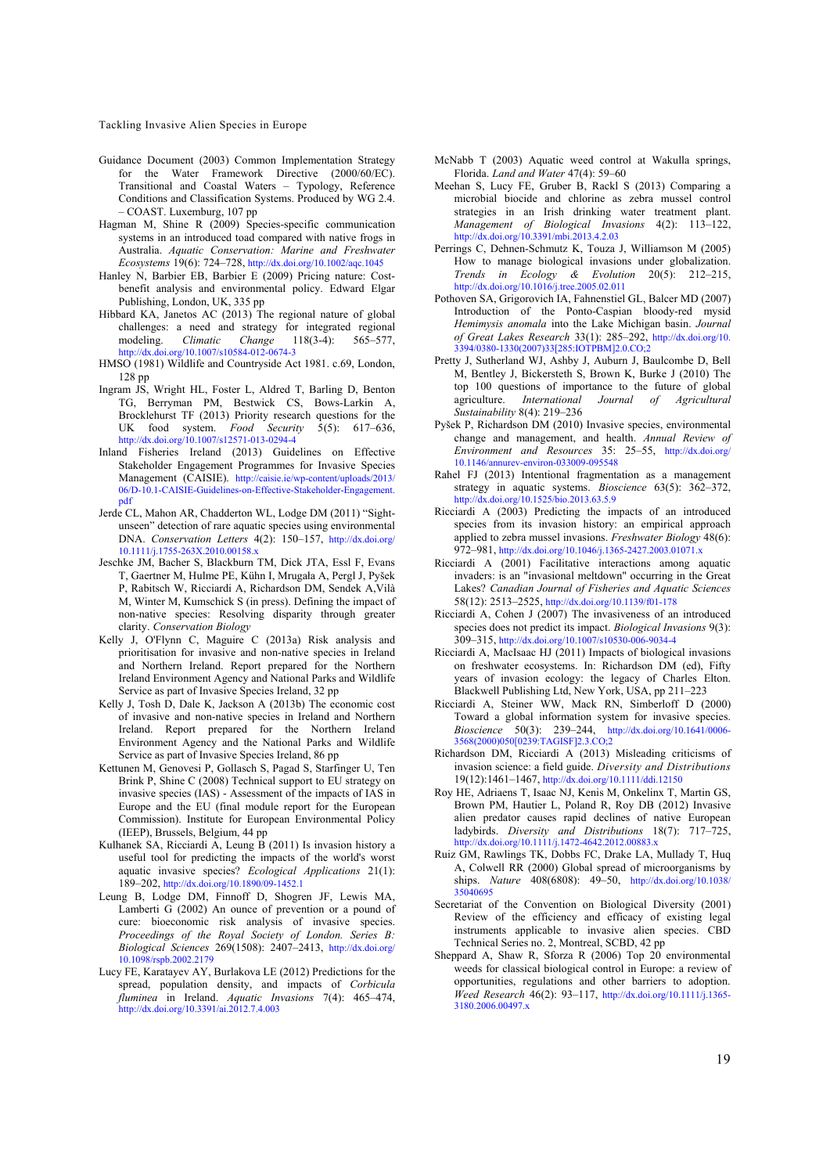- Guidance Document (2003) Common Implementation Strategy for the Water Framework Directive (2000/60/EC). Transitional and Coastal Waters – Typology, Reference Conditions and Classification Systems. Produced by WG 2.4. – COAST. Luxemburg, 107 pp
- Hagman M, Shine R (2009) Species-specific communication systems in an introduced toad compared with native frogs in Australia. *Aquatic Conservation: Marine and Freshwater Ecosystems* 19(6): 724–728, http://dx.doi.org/10.1002/aqc.1045
- Hanley N, Barbier EB, Barbier E (2009) Pricing nature: Costbenefit analysis and environmental policy. Edward Elgar Publishing, London, UK, 335 pp
- Hibbard KA, Janetos AC (2013) The regional nature of global challenges: a need and strategy for integrated regional modeling. *Climatic* Change 118(3-4): 565–577,  $Change$ http://dx.doi.org/10.1007/s10584-012-0674-3
- HMSO (1981) Wildlife and Countryside Act 1981. c.69, London, 128 pp
- Ingram JS, Wright HL, Foster L, Aldred T, Barling D, Benton TG, Berryman PM, Bestwick CS, Bows-Larkin A, Brocklehurst TF (2013) Priority research questions for the UK food system. *Food Security* 5(5): 617–636, http://dx.doi.org/10.1007/s12571-013-0294-4
- Inland Fisheries Ireland (2013) Guidelines on Effective Stakeholder Engagement Programmes for Invasive Species Management (CAISIE). http://caisie.ie/wp-content/uploads/2013/ 06/D-10.1-CAISIE-Guidelines-on-Effective-Stakeholder-Engagement. pdf
- Jerde CL, Mahon AR, Chadderton WL, Lodge DM (2011) "Sightunseen" detection of rare aquatic species using environmental DNA. *Conservation Letters* 4(2): 150–157, http://dx.doi.org/ 10.1111/j.1755-263X.2010.00158.x
- Jeschke JM, Bacher S, Blackburn TM, Dick JTA, Essl F, Evans T, Gaertner M, Hulme PE, Kühn I, Mrugała A, Pergl J, Pyšek P, Rabitsch W, Ricciardi A, Richardson DM, Sendek A,Vilà M, Winter M, Kumschick S (in press). Defining the impact of non-native species: Resolving disparity through greater clarity. *Conservation Biology*
- Kelly J, O'Flynn C, Maguire C (2013a) Risk analysis and prioritisation for invasive and non-native species in Ireland and Northern Ireland. Report prepared for the Northern Ireland Environment Agency and National Parks and Wildlife Service as part of Invasive Species Ireland, 32 pp
- Kelly J, Tosh D, Dale K, Jackson A (2013b) The economic cost of invasive and non-native species in Ireland and Northern Ireland. Report prepared for the Northern Ireland Environment Agency and the National Parks and Wildlife Service as part of Invasive Species Ireland, 86 pp
- Kettunen M, Genovesi P, Gollasch S, Pagad S, Starfinger U, Ten Brink P, Shine C (2008) Technical support to EU strategy on invasive species (IAS) - Assessment of the impacts of IAS in Europe and the EU (final module report for the European Commission). Institute for European Environmental Policy (IEEP), Brussels, Belgium, 44 pp
- Kulhanek SA, Ricciardi A, Leung B (2011) Is invasion history a useful tool for predicting the impacts of the world's worst aquatic invasive species? *Ecological Applications* 21(1): 189–202, http://dx.doi.org/10.1890/09-1452.1
- Leung B, Lodge DM, Finnoff D, Shogren JF, Lewis MA, Lamberti G (2002) An ounce of prevention or a pound of cure: bioeconomic risk analysis of invasive species. *Proceedings of the Royal Society of London. Series B: Biological Sciences* 269(1508): 2407–2413, http://dx.doi.org/ 10.1098/rspb.2002.2179
- Lucy FE, Karatayev AY, Burlakova LE (2012) Predictions for the spread, population density, and impacts of *Corbicula fluminea* in Ireland. *Aquatic Invasions* 7(4): 465–474, http://dx.doi.org/10.3391/ai.2012.7.4.003
- McNabb T (2003) Aquatic weed control at Wakulla springs, Florida. *Land and Water* 47(4): 59–60
- Meehan S, Lucy FE, Gruber B, Rackl S (2013) Comparing a microbial biocide and chlorine as zebra mussel control strategies in an Irish drinking water treatment plant. *Management of Biological Invasions* 4(2): 113–122, http://dx.doi.org/10.3391/mbi.2013.4.2.03
- Perrings C, Dehnen-Schmutz K, Touza J, Williamson M (2005) How to manage biological invasions under globalization. *Trends in Ecology & Evolution* 20(5): 212–215, http://dx.doi.org/10.1016/j.tree.2005.02.011
- Pothoven SA, Grigorovich IA, Fahnenstiel GL, Balcer MD (2007) Introduction of the Ponto-Caspian bloody-red mysid *Hemimysis anomala* into the Lake Michigan basin. *Journal of Great Lakes Research* 33(1): 285–292, http://dx.doi.org/10. 3394/0380-1330(2007)33[285:IOTPBM]2.0.CO;2
- Pretty J, Sutherland WJ, Ashby J, Auburn J, Baulcombe D, Bell M, Bentley J, Bickersteth S, Brown K, Burke J (2010) The top 100 questions of importance to the future of global agriculture. International Journal of Agricultural agriculture. *International Journal of Agricultural Sustainability* 8(4): 219–236
- Pyšek P, Richardson DM (2010) Invasive species, environmental change and management, and health. *Annual Review of Environment and Resources* 35: 25–55, http://dx.doi.org/ 10.1146/annurev-environ-033009-095548
- Rahel FJ (2013) Intentional fragmentation as a management strategy in aquatic systems. *Bioscience* 63(5): 362–372, http://dx.doi.org/10.1525/bio.2013.63.5.9
- Ricciardi A (2003) Predicting the impacts of an introduced species from its invasion history: an empirical approach applied to zebra mussel invasions. *Freshwater Biology* 48(6): 972–981, http://dx.doi.org/10.1046/j.1365-2427.2003.01071.x
- Ricciardi A (2001) Facilitative interactions among aquatic invaders: is an "invasional meltdown" occurring in the Great Lakes? *Canadian Journal of Fisheries and Aquatic Sciences* 58(12): 2513–2525, http://dx.doi.org/10.1139/f01-178
- Ricciardi A, Cohen J (2007) The invasiveness of an introduced species does not predict its impact. *Biological Invasions* 9(3): 309–315, http://dx.doi.org/10.1007/s10530-006-9034-4
- Ricciardi A, MacIsaac HJ (2011) Impacts of biological invasions on freshwater ecosystems. In: Richardson DM (ed), Fifty years of invasion ecology: the legacy of Charles Elton. Blackwell Publishing Ltd, New York, USA, pp 211–223
- Ricciardi A, Steiner WW, Mack RN, Simberloff D (2000) Toward a global information system for invasive species. *Bioscience* 50(3): 239–244, http://dx.doi.org/10.1641/0006- 3568(2000)050[0239:TAGISF]2.3.CO;2
- Richardson DM, Ricciardi A (2013) Misleading criticisms of invasion science: a field guide. *Diversity and Distributions* 19(12):1461–1467, http://dx.doi.org/10.1111/ddi.12150
- Roy HE, Adriaens T, Isaac NJ, Kenis M, Onkelinx T, Martin GS, Brown PM, Hautier L, Poland R, Roy DB (2012) Invasive alien predator causes rapid declines of native European ladybirds. *Diversity and Distributions* 18(7): 717–725, http://dx.doi.org/10.1111/j.1472-4642.2012.00883.x
- Ruiz GM, Rawlings TK, Dobbs FC, Drake LA, Mullady T, Huq A, Colwell RR (2000) Global spread of microorganisms by ships. *Nature* 408(6808): 49–50, http://dx.doi.org/10.1038/ 35040695
- Secretariat of the Convention on Biological Diversity (2001) Review of the efficiency and efficacy of existing legal instruments applicable to invasive alien species. CBD Technical Series no. 2, Montreal, SCBD, 42 pp
- Sheppard A, Shaw R, Sforza R (2006) Top 20 environmental weeds for classical biological control in Europe: a review of opportunities, regulations and other barriers to adoption. *Weed Research* 46(2): 93–117, http://dx.doi.org/10.1111/j.1365- 3180.2006.00497.x